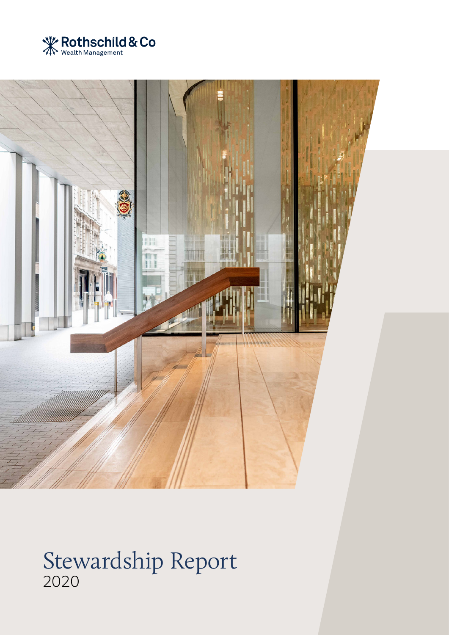



## Stewardship Report 2020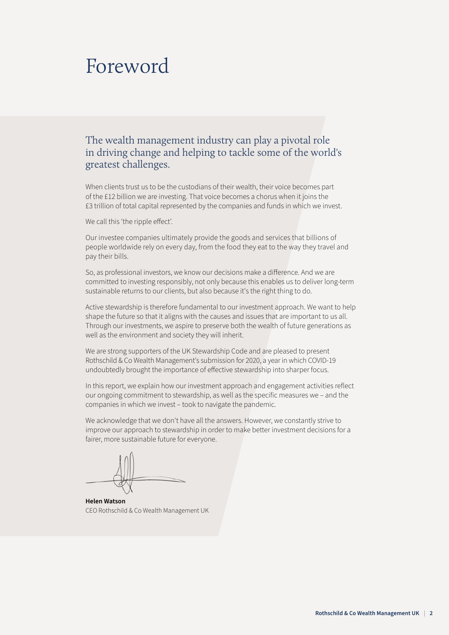## Foreword

## The wealth management industry can play a pivotal role in driving change and helping to tackle some of the world's greatest challenges.

When clients trust us to be the custodians of their wealth, their voice becomes part of the £12 billion we are investing. That voice becomes a chorus when it joins the £3 trillion of total capital represented by the companies and funds in which we invest.

We call this 'the ripple effect'.

Our investee companies ultimately provide the goods and services that billions of people worldwide rely on every day, from the food they eat to the way they travel and pay their bills.

So, as professional investors, we know our decisions make a difference. And we are committed to investing responsibly, not only because this enables us to deliver long-term sustainable returns to our clients, but also because it's the right thing to do.

Active stewardship is therefore fundamental to our investment approach. We want to help shape the future so that it aligns with the causes and issues that are important to us all. Through our investments, we aspire to preserve both the wealth of future generations as well as the environment and society they will inherit.

We are strong supporters of the UK Stewardship Code and are pleased to present Rothschild & Co Wealth Management's submission for 2020, a year in which COVID-19 undoubtedly brought the importance of effective stewardship into sharper focus.

In this report, we explain how our investment approach and engagement activities reflect our ongoing commitment to stewardship, as well as the specific measures we – and the companies in which we invest – took to navigate the pandemic.

We acknowledge that we don't have all the answers. However, we constantly strive to improve our approach to stewardship in order to make better investment decisions for a fairer, more sustainable future for everyone.

**Helen Watson** CEO Rothschild & Co Wealth Management UK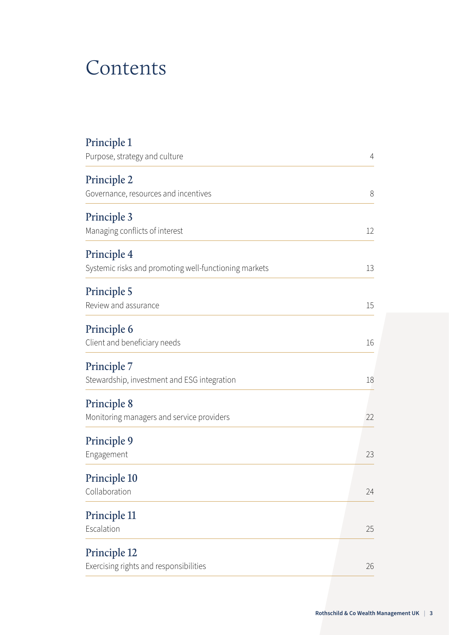## Contents

| Principle 1                                           |                |
|-------------------------------------------------------|----------------|
| Purpose, strategy and culture                         | $\overline{4}$ |
| Principle 2                                           |                |
| Governance, resources and incentives                  | 8              |
| <b>Principle 3</b>                                    |                |
| Managing conflicts of interest                        | 12             |
| Principle 4                                           |                |
| Systemic risks and promoting well-functioning markets | 13             |
| <b>Principle 5</b>                                    |                |
| Review and assurance                                  | 15             |
| <b>Principle 6</b>                                    |                |
| Client and beneficiary needs                          | 16             |
| Principle 7                                           |                |
| Stewardship, investment and ESG integration           | 18             |
| <b>Principle 8</b>                                    |                |
| Monitoring managers and service providers             | 22             |
| <b>Principle 9</b>                                    |                |
| Engagement                                            | 23             |
| Principle 10                                          |                |
| Collaboration                                         | 24             |
| Principle 11                                          |                |
| Escalation                                            | 25             |
| Principle 12                                          |                |
| Exercising rights and responsibilities                | 26             |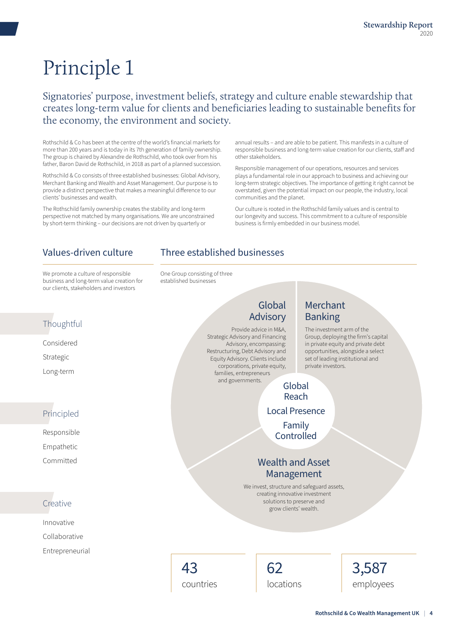## <span id="page-3-0"></span>Signatories' purpose, investment beliefs, strategy and culture enable stewardship that creates long-term value for clients and beneficiaries leading to sustainable benefits for the economy, the environment and society.

Rothschild & Co has been at the centre of the world's financial markets for more than 200 years and is today in its 7th generation of family ownership. The group is chaired by Alexandre de Rothschild, who took over from his father, Baron David de Rothschild, in 2018 as part of a planned succession.

Rothschild & Co consists of three established businesses: Global Advisory, Merchant Banking and Wealth and Asset Management. Our purpose is to provide a distinct perspective that makes a meaningful difference to our clients' businesses and wealth.

The Rothschild family ownership creates the stability and long-term perspective not matched by many organisations. We are unconstrained by short-term thinking – our decisions are not driven by quarterly or

annual results – and are able to be patient. This manifests in a culture of responsible business and long-term value creation for our clients, staff and other stakeholders.

Responsible management of our operations, resources and services plays a fundamental role in our approach to business and achieving our long-term strategic objectives. The importance of getting it right cannot be overstated, given the potential impact on our people, the industry, local communities and the planet.

Our culture is rooted in the Rothschild family values and is central to our longevity and success. This commitment to a culture of responsible business is firmly embedded in our business model.

## Values-driven culture Three established businesses

We promote a culture of responsible business and long-term value creation for our clients, stakeholders and investors

One Group consisting of three established businesses

## **Thoughtful**

Considered Strategic Long-term

## Principled

Responsible Empathetic Committed

## **Creative**

Innovative Collaborative Entrepreneurial

## **Advisory** Provide advice in M&A,

Global

Strategic Advisory and Financing Advisory, encompassing: Restructuring, Debt Advisory and Equity Advisory. Clients include corporations, private equity, families, entrepreneurs and governments.

## Merchant Banking

The investment arm of the Group, deploying the firm's capital in private equity and private debt opportunities, alongside a select set of leading institutional and private investors.

Global Reach Local Presence Family Controlled

## Wealth and Asset Management

We invest, structure and safeguard assets, creating innovative investment solutions to preserve and grow clients' wealth.

43 countries



3,587 employees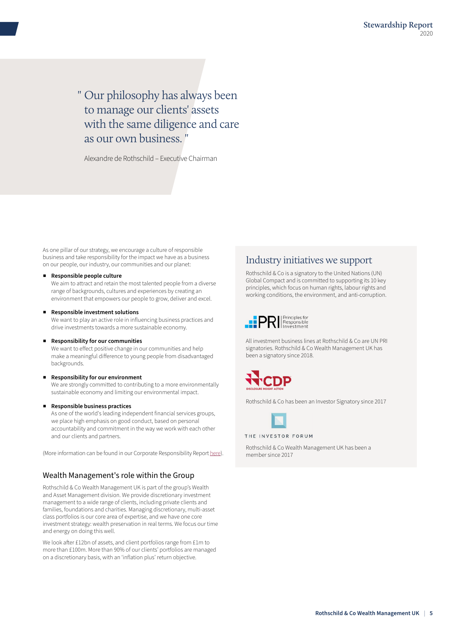" Our philosophy has always been to manage our clients' assets with the same diligence and care as our own business. "

Alexandre de Rothschild – Executive Chairman

As one pillar of our strategy, we encourage a culture of responsible business and take responsibility for the impact we have as a business on our people, our industry, our communities and our planet:

#### ■ **Responsible people culture**

We aim to attract and retain the most talented people from a diverse range of backgrounds, cultures and experiences by creating an environment that empowers our people to grow, deliver and excel.

#### ■ **Responsible investment solutions**

We want to play an active role in influencing business practices and drive investments towards a more sustainable economy.

#### ■ **Responsibility for our communities**

We want to effect positive change in our communities and help make a meaningful difference to young people from disadvantaged backgrounds.

#### **Responsibility for our environment**

We are strongly committed to contributing to a more environmentally sustainable economy and limiting our environmental impact.

#### ■ **Responsible business practices**

As one of the world's leading independent financial services groups, we place high emphasis on good conduct, based on personal accountability and commitment in the way we work with each other and our clients and partners.

(More information can be found in our Corporate Responsibility Report [here\)](https://www.rothschildandco.com/en/who-we-are/corporate-responsibility).

#### Wealth Management's role within the Group

Rothschild & Co Wealth Management UK is part of the group's Wealth and Asset Management division. We provide discretionary investment management to a wide range of clients, including private clients and families, foundations and charities. Managing discretionary, multi-asset class portfolios is our core area of expertise, and we have one core investment strategy: wealth preservation in real terms. We focus our time and energy on doing this well.

We look after £12bn of assets, and client portfolios range from £1m to more than £100m. More than 90% of our clients' portfolios are managed on a discretionary basis, with an 'inflation plus' return objective.

### Industry initiatives we support

Rothschild & Co is a signatory to the United Nations (UN) Global Compact and is committed to supporting its 10 key principles, which focus on human rights, labour rights and working conditions, the environment, and anti-corruption.



All investment business lines at Rothschild & Co are UN PRI signatories. Rothschild & Co Wealth Management UK has been a signatory since 2018.



Rothschild & Co has been an Investor Signatory since 2017



THE INVESTOR FORUM

Rothschild & Co Wealth Management UK has been a member since 2017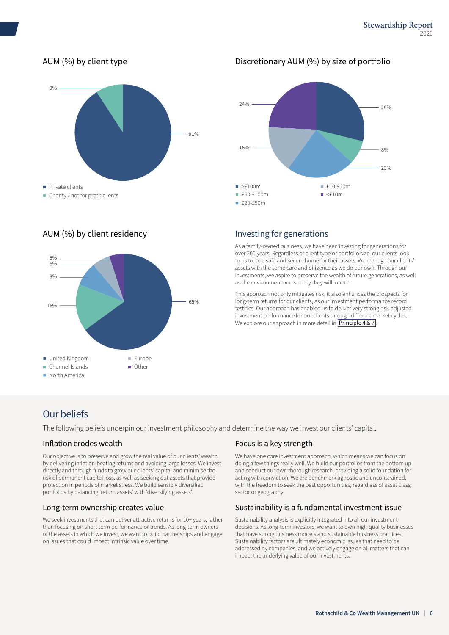## AUM (%) by client type



### AUM (%) by client residency



### Discretionary AUM (%) by size of portfolio



### Investing for generations

As a family-owned business, we have been investing for generations for over 200 years. Regardless of client type or portfolio size, our clients look to us to be a safe and secure home for their assets. We manage our clients' assets with the same care and diligence as we do our own. Through our investments, we aspire to preserve the wealth of future generations, as well as the environment and society they will inherit.

This approach not only mitigates risk, it also enhances the prospects for long-term returns for our clients, as our investment performance record testifies. Our approach has enabled us to deliver very strong risk-adjusted investment performance for our clients through different market cycles. We explore our approach in more detail in **[Principle 4 & 7](#page-12-0)**.

## Our beliefs

The following beliefs underpin our investment philosophy and determine the way we invest our clients' capital.

#### Inflation erodes wealth

Our objective is to preserve and grow the real value of our clients' wealth by delivering inflation-beating returns and avoiding large losses. We invest directly and through funds to grow our clients' capital and minimise the risk of permanent capital loss, as well as seeking out assets that provide protection in periods of market stress. We build sensibly diversified portfolios by balancing 'return assets' with 'diversifying assets'.

#### Long-term ownership creates value

We seek investments that can deliver attractive returns for 10+ years, rather than focusing on short-term performance or trends. As long-term owners of the assets in which we invest, we want to build partnerships and engage on issues that could impact intrinsic value over time.

#### Focus is a key strength

We have one core investment approach, which means we can focus on doing a few things really well. We build our portfolios from the bottom up and conduct our own thorough research, providing a solid foundation for acting with conviction. We are benchmark agnostic and unconstrained, with the freedom to seek the best opportunities, regardless of asset class, sector or geography.

#### Sustainability is a fundamental investment issue

Sustainability analysis is explicitly integrated into all our investment decisions. As long-term investors, we want to own high-quality businesses that have strong business models and sustainable business practices. Sustainability factors are ultimately economic issues that need to be addressed by companies, and we actively engage on all matters that can impact the underlying value of our investments.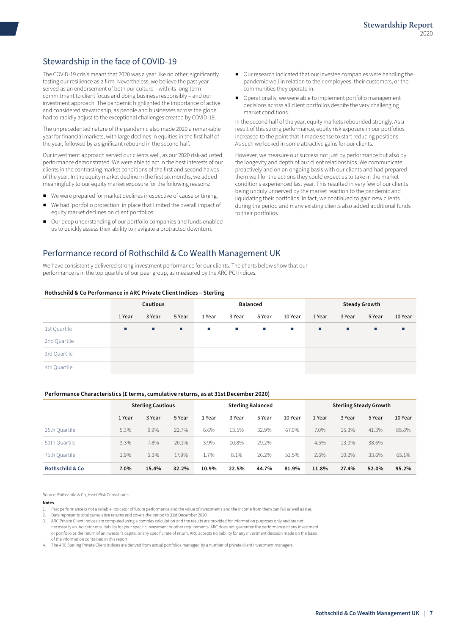## Stewardship in the face of COVID-19

The COVID-19 crisis meant that 2020 was a year like no other, significantly testing our resilience as a firm. Nevertheless, we believe the past year served as an endorsement of both our culture – with its long-term commitment to client focus and doing business responsibly – and our investment approach. The pandemic highlighted the importance of active and considered stewardship, as people and businesses across the globe had to rapidly adjust to the exceptional challenges created by COVID-19.

The unprecedented nature of the pandemic also made 2020 a remarkable year for financial markets, with large declines in equities in the first half of the year, followed by a significant rebound in the second half.

Our investment approach served our clients well, as our 2020 risk-adjusted performance demonstrated. We were able to act in the best interests of our clients in the contrasting market conditions of the first and second halves of the year. In the equity market decline in the first six months, we added meaningfully to our equity market exposure for the following reasons:

- We were prepared for market declines irrespective of cause or timing.
- We had 'portfolio protection' in place that limited the overall impact of equity market declines on client portfolios.
- Our deep understanding of our portfolio companies and funds enabled us to quickly assess their ability to navigate a protracted downturn.
- Our research indicated that our investee companies were handling the pandemic well in relation to their employees, their customers, or the communities they operate in.
- Operationally, we were able to implement portfolio management decisions across all client portfolios despite the very challenging market conditions.

In the second half of the year, equity markets rebounded strongly. As a result of this strong performance, equity risk exposure in our portfolios increased to the point that it made sense to start reducing positions. As such we locked in some attractive gains for our clients.

However, we measure our success not just by performance but also by the longevity and depth of our client relationships. We communicate proactively and on an ongoing basis with our clients and had prepared them well for the actions they could expect us to take in the market conditions experienced last year. This resulted in very few of our clients being unduly unnerved by the market reaction to the pandemic and liquidating their portfolios. In fact, we continued to gain new clients during the period and many existing clients also added additional funds to their portfolios.

### Performance record of Rothschild & Co Wealth Management UK

We have consistently delivered strong investment performance for our clients. The charts below show that our performance is in the top quartile of our peer group, as measured by the ARC PCI indices.

#### **Rothschild & Co Performance in ARC Private Client Indices – Sterling**

|              | Cautious  |        |        | <b>Balanced</b> |                 |            |                   | <b>Steady Growth</b> |        |        |         |
|--------------|-----------|--------|--------|-----------------|-----------------|------------|-------------------|----------------------|--------|--------|---------|
|              | 1 Year    | 3 Year | 5 Year | 1 Year          | 3 Year          | 5 Year     | 10 Year           | 1 Year               | 3 Year | 5 Year | 10 Year |
| 1st Quartile | <b>CO</b> | п.     | ×.     | <b>STA</b>      | <b>Contract</b> | <b>COL</b> | <b>Contractor</b> | <b>CO</b>            | л.     | ш      | ш       |
| 2nd Quartile |           |        |        |                 |                 |            |                   |                      |        |        |         |
| 3rd Quartile |           |        |        |                 |                 |            |                   |                      |        |        |         |
| 4th Quartile |           |        |        |                 |                 |            |                   |                      |        |        |         |

#### **Performance Characteristics (£ terms, cumulative returns, as at 31st December 2020)**

|                            | <b>Sterling Cautious</b> |        | <b>Sterling Balanced</b> |        |        | <b>Sterling Steady Growth</b> |                          |        |        |        |                   |
|----------------------------|--------------------------|--------|--------------------------|--------|--------|-------------------------------|--------------------------|--------|--------|--------|-------------------|
|                            | 1 Year                   | 3 Year | 5 Year                   | 1 Year | 3 Year | 5 Year                        | 10 Year                  | 1 Year | 3 Year | 5 Year | 10 Year           |
| 25th Quartile              | 5.3%                     | 9.9%   | 22.7%                    | 6.6%   | 13.5%  | 32.9%                         | 67.0%                    | 7.0%   | 15.3%  | 41.3%  | 85.8%             |
| 50th Quartile              | 3.3%                     | 7.8%   | 20.1%                    | 3.9%   | 10.8%  | 29.2%                         | $\overline{\phantom{a}}$ | 4.5%   | 13.0%  | 38.6%  | $\qquad \qquad -$ |
| 75th Quartile              | 1.9%                     | 6.3%   | 17.9%                    | 1.7%   | 8.1%   | 26.2%                         | 51.5%                    | 2.6%   | 10.2%  | 33.6%  | 65.1%             |
| <b>Rothschild &amp; Co</b> | 7.0%                     | 15.4%  | 32.2%                    | 10.9%  | 22.5%  | 44.7%                         | 81.9%                    | 11.8%  | 27.4%  | 52.0%  | 95.2%             |

Source: Rothschild & Co, Asset Risk Consultants.

#### **Notes**

- 1. Past performance is not a reliable indicator of future performance and the value of investments and the income from them can fall as well as rise.
- 2. Data represents total cumulative returns and covers the period to 31st December 2020.
- 3. ARC Private Client Indices are computed using a complex calculation and the results are provided for information purposes only and are not necessarily an indicator of suitability for your specific investment or other requirements. ARC does not guarantee the performance of any investment or portfolio or the return of an investor's capital or any specific rate of return. ARC accepts no liability for any investment decision made on the basis of the information contained in this report.
- The ARC Sterling Private Client Indices are derived from actual portfolios managed by a number of private client investment managers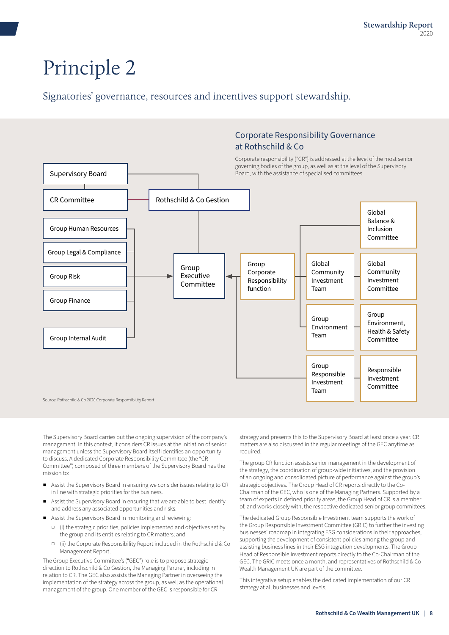<span id="page-7-0"></span>Signatories' governance, resources and incentives support stewardship.

## Corporate Responsibility Governance at Rothschild & Co

Corporate responsibility ("CR") is addressed at the level of the most senior governing bodies of the group, as well as at the level of the Supervisory Board, with the assistance of specialised committees.



The Supervisory Board carries out the ongoing supervision of the company's management. In this context, it considers CR issues at the initiation of senior management unless the Supervisory Board itself identifies an opportunity to discuss. A dedicated Corporate Responsibility Committee (the "CR Committee") composed of three members of the Supervisory Board has the mission to:

- Assist the Supervisory Board in ensuring we consider issues relating to CR in line with strategic priorities for the business.
- Assist the Supervisory Board in ensuring that we are able to best identify and address any associated opportunities and risks.
- Assist the Supervisory Board in monitoring and reviewing:
	- □ (i) the strategic priorities, policies implemented and objectives set by the group and its entities relating to CR matters; and
	- □ (ii) the Corporate Responsibility Report included in the Rothschild & Co Management Report.

The Group Executive Committee's ("GEC") role is to propose strategic direction to Rothschild & Co Gestion, the Managing Partner, including in relation to CR. The GEC also assists the Managing Partner in overseeing the implementation of the strategy across the group, as well as the operational management of the group. One member of the GEC is responsible for CR

strategy and presents this to the Supervisory Board at least once a year. CR matters are also discussed in the regular meetings of the GEC anytime as required.

The group CR function assists senior management in the development of the strategy, the coordination of group-wide initiatives, and the provision of an ongoing and consolidated picture of performance against the group's strategic objectives. The Group Head of CR reports directly to the Co-Chairman of the GEC, who is one of the Managing Partners. Supported by a team of experts in defined priority areas, the Group Head of CR is a member of, and works closely with, the respective dedicated senior group committees.

The dedicated Group Responsible Investment team supports the work of the Group Responsible Investment Committee (GRIC) to further the investing businesses' roadmap in integrating ESG considerations in their approaches, supporting the development of consistent policies among the group and assisting business lines in their ESG integration developments. The Group Head of Responsible Investment reports directly to the Co-Chairman of the GEC. The GRIC meets once a month, and representatives of Rothschild & Co Wealth Management UK are part of the committee.

This integrative setup enables the dedicated implementation of our CR strategy at all businesses and levels.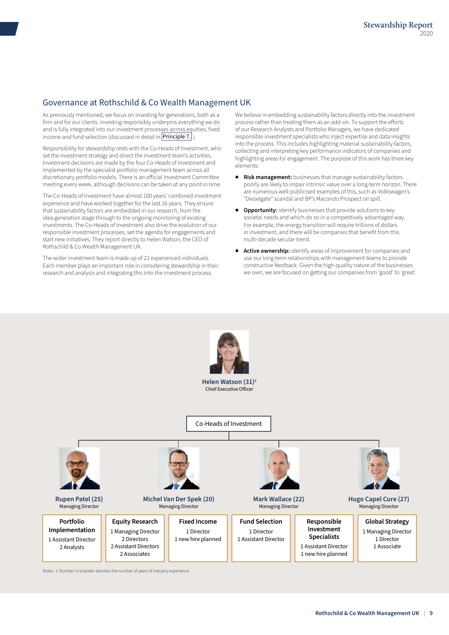### Governance at Rothschild & Co Wealth Management UK

As previously mentioned, we focus on investing for generations, both as a firm and for our clients. Investing responsibly underpins everything we do and is fully integrated into our investment processes across equities, fixed income and fund selection (discussed in detail in **[Principle 7.](#page-17-0)** ).

Responsibility for stewardship rests with the Co-Heads of Investment, who set the investment strategy and direct the investment team's activities. Investment decisions are made by the four Co-Heads of Investment and implemented by the specialist portfolio management team across all discretionary portfolio models. There is an official Investment Committee meeting every week, although decisions can be taken at any point in time.

The Co-Heads of Investment have almost 100 years' combined investment experience and have worked together for the last 16 years. They ensure that sustainability factors are embedded in our research, from the idea generation stage through to the ongoing monitoring of existing investments. The Co-Heads of Investment also drive the evolution of our responsible investment processes, set the agenda for engagements and start new initiatives. They report directly to Helen Watson, the CEO of Rothschild & Co Wealth Management UK.

The wider investment team is made up of 21 experienced individuals. Each member plays an important role in considering stewardship in their research and analysis and integrating this into the investment process.

We believe in embedding sustainability factors directly into the investment process rather than treating them as an add-on. To support the efforts of our Research Analysts and Portfolio Managers, we have dedicated responsible investment specialists who inject expertise and data insights into the process. This includes highlighting material sustainability factors, collecting and interpreting key performance indicators of companies and highlighting areas for engagement. The purpose of this work has three key elements:

- Risk management: businesses that manage sustainability factors poorly are likely to impair intrinsic value over a long-term horizon. There are numerous well-publicised examples of this, such as Volkswagen's "Dieselgate" scandal and BP's Macondo Prospect oil spill.
- Opportunity: identify businesses that provide solutions to key societal needs and which do so in a competitively advantaged way. For example, the energy transition will require trillions of dollars in investment, and there will be companies that benefit from this multi-decade secular trend.
- Active ownership: identify areas of improvement for companies and use our long-term relationships with management teams to provide constructive feedback. Given the high-quality nature of the businesses we own, we are focused on getting our companies from 'good' to 'great'.



Notes: 1: Number in brackets denotes the number of years of industry experience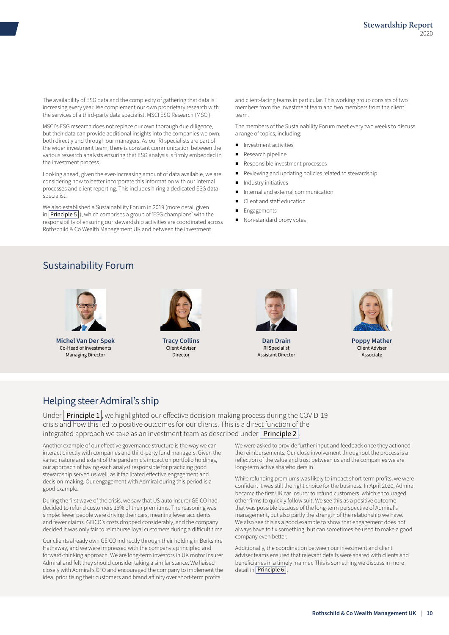The availability of ESG data and the complexity of gathering that data is increasing every year. We complement our own proprietary research with the services of a third-party data specialist, MSCI ESG Research (MSCI).

MSCI's ESG research does not replace our own thorough due diligence, but their data can provide additional insights into the companies we own, both directly and through our managers. As our RI specialists are part of the wider investment team, there is constant communication between the various research analysts ensuring that ESG analysis is firmly embedded in the investment process.

Looking ahead, given the ever-increasing amount of data available, we are considering how to better incorporate this information with our internal processes and client reporting. This includes hiring a dedicated ESG data specialist.

We also established a Sustainability Forum in 2019 (more detail given in  $\boxed{\text{Principle 5}}$  $\boxed{\text{Principle 5}}$  $\boxed{\text{Principle 5}}$ , which comprises a group of 'ESG champions' with the responsibility of ensuring our stewardship activities are coordinated across Rothschild & Co Wealth Management UK and between the investment

and client-facing teams in particular. This working group consists of two members from the investment team and two members from the client team.

The members of the Sustainability Forum meet every two weeks to discuss a range of topics, including:

- Investment activities
- Research pipeline
- Responsible investment processes
- Reviewing and updating policies related to stewardship
- Industry initiatives
- Internal and external communication
- Client and staff education
- **Engagements**
- Non-standard proxy votes

## Sustainability Forum



**Michel Van Der Spek** Co-Head of Investments Managing Director



**Tracy Collins** Client Adviser Director



**Dan Drain** RI Specialist Assistant Director



**Poppy Mather** Client Adviser Associate

## Helping steer Admiral's ship

Under **[Principle 1](#page-3-0)**, we highlighted our effective decision-making process during the COVID-19 crisis and how this led to positive outcomes for our clients. This is a direct function of the integrated approach we take as an investment team as described under  $\vert$  [Principle 2](#page-7-0)

Another example of our effective governance structure is the way we can interact directly with companies and third-party fund managers. Given the varied nature and extent of the pandemic's impact on portfolio holdings, our approach of having each analyst responsible for practicing good stewardship served us well, as it facilitated effective engagement and decision-making. Our engagement with Admiral during this period is a good example.

During the first wave of the crisis, we saw that US auto insurer GEICO had decided to refund customers 15% of their premiums. The reasoning was simple: fewer people were driving their cars, meaning fewer accidents and fewer claims. GEICO's costs dropped considerably, and the company decided it was only fair to reimburse loyal customers during a difficult time.

Our clients already own GEICO indirectly through their holding in Berkshire Hathaway, and we were impressed with the company's principled and forward-thinking approach. We are long-term investors in UK motor insurer Admiral and felt they should consider taking a similar stance. We liaised closely with Admiral's CFO and encouraged the company to implement the idea, prioritising their customers and brand affinity over short-term profits.

We were asked to provide further input and feedback once they actioned the reimbursements. Our close involvement throughout the process is a reflection of the value and trust between us and the companies we are long-term active shareholders in.

While refunding premiums was likely to impact short-term profits, we were confident it was still the right choice for the business. In April 2020, Admiral became the first UK car insurer to refund customers, which encouraged other firms to quickly follow suit. We see this as a positive outcome that was possible because of the long-term perspective of Admiral's management, but also partly the strength of the relationship we have. We also see this as a good example to show that engagement does not always have to fix something, but can sometimes be used to make a good company even better.

Additionally, the coordination between our investment and client adviser teams ensured that relevant details were shared with clients and beneficiaries in a timely manner. This is something we discuss in more detail in **[Principle 6](#page-15-0)**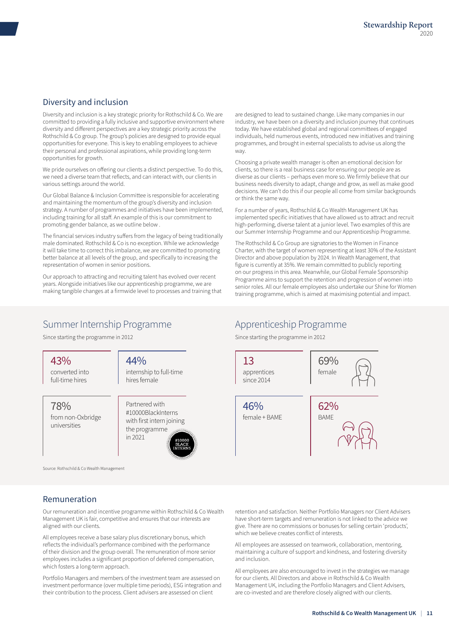### Diversity and inclusion

Diversity and inclusion is a key strategic priority for Rothschild & Co. We are committed to providing a fully inclusive and supportive environment where diversity and different perspectives are a key strategic priority across the Rothschild & Co group. The group's policies are designed to provide equal opportunities for everyone. This is key to enabling employees to achieve their personal and professional aspirations, while providing long-term opportunities for growth.

We pride ourselves on offering our clients a distinct perspective. To do this, we need a diverse team that reflects, and can interact with, our clients in various settings around the world.

Our Global Balance & Inclusion Committee is responsible for accelerating and maintaining the momentum of the group's diversity and inclusion strategy. A number of programmes and initiatives have been implemented, including training for all staff. An example of this is our commitment to promoting gender balance, as we outline below .

The financial services industry suffers from the legacy of being traditionally male dominated. Rothschild & Co is no exception. While we acknowledge it will take time to correct this imbalance, we are committed to promoting better balance at all levels of the group, and specifically to increasing the representation of women in senior positions.

Our approach to attracting and recruiting talent has evolved over recent years. Alongside initiatives like our apprenticeship programme, we are making tangible changes at a firmwide level to processes and training that are designed to lead to sustained change. Like many companies in our industry, we have been on a diversity and inclusion journey that continues today. We have established global and regional committees of engaged individuals, held numerous events, introduced new initiatives and training programmes, and brought in external specialists to advise us along the way.

Choosing a private wealth manager is often an emotional decision for clients, so there is a real business case for ensuring our people are as diverse as our clients – perhaps even more so. We firmly believe that our business needs diversity to adapt, change and grow, as well as make good decisions. We can't do this if our people all come from similar backgrounds or think the same way.

For a number of years, Rothschild & Co Wealth Management UK has implemented specific initiatives that have allowed us to attract and recruit high-performing, diverse talent at a junior level. Two examples of this are our Summer Internship Programme and our Apprenticeship Programme.

The Rothschild & Co Group are signatories to the Women in Finance Charter, with the target of women representing at least 30% of the Assistant Director and above population by 2024. In Wealth Management, that figure is currently at 35%. We remain committed to publicly reporting on our progress in this area. Meanwhile, our Global Female Sponsorship Programme aims to support the retention and progression of women into senior roles. All our female employees also undertake our Shine for Women training programme, which is aimed at maximising potential and impact.

## Summer Internship Programme

Since starting the programme in 2012

43% converted into full-time hires

44%

internship to full-time hires female

78% from non-Oxbridge universities

Partnered with #10000BlackInterns with first intern joining the programme in 2021

Source: Rothschild & Co Wealth Management

### Remuneration

Our remuneration and incentive programme within Rothschild & Co Wealth Management UK is fair, competitive and ensures that our interests are aligned with our clients.

All employees receive a base salary plus discretionary bonus, which reflects the individual's performance combined with the performance of their division and the group overall. The remuneration of more senior employees includes a significant proportion of deferred compensation, which fosters a long-term approach.

Portfolio Managers and members of the investment team are assessed on investment performance (over multiple time periods), ESG integration and their contribution to the process. Client advisers are assessed on client

## Apprenticeship Programme

Since starting the programme in 2012



retention and satisfaction. Neither Portfolio Managers nor Client Advisers have short-term targets and remuneration is not linked to the advice we give. There are no commissions or bonuses for selling certain 'products', which we believe creates conflict of interests.

All employees are assessed on teamwork, collaboration, mentoring, maintaining a culture of support and kindness, and fostering diversity and inclusion.

All employees are also encouraged to invest in the strategies we manage for our clients. All Directors and above in Rothschild & Co Wealth Management UK, including the Portfolio Managers and Client Advisers, are co-invested and are therefore closely aligned with our clients.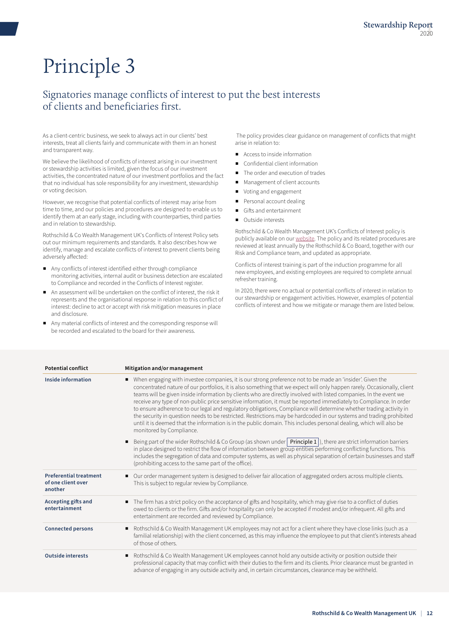## <span id="page-11-0"></span>Signatories manage conflicts of interest to put the best interests of clients and beneficiaries first.

As a client-centric business, we seek to always act in our clients' best interests, treat all clients fairly and communicate with them in an honest and transparent way.

We believe the likelihood of conflicts of interest arising in our investment or stewardship activities is limited, given the focus of our investment activities, the concentrated nature of our investment portfolios and the fact that no individual has sole responsibility for any investment, stewardship or voting decision.

However, we recognise that potential conflicts of interest may arise from time to time, and our policies and procedures are designed to enable us to identify them at an early stage, including with counterparties, third parties and in relation to stewardship.

Rothschild & Co Wealth Management UK's Conflicts of Interest Policy sets out our minimum requirements and standards. It also describes how we identify, manage and escalate conflicts of interest to prevent clients being adversely affected:

- Any conflicts of interest identified either through compliance monitoring activities, internal audit or business detection are escalated to Compliance and recorded in the Conflicts of Interest register.
- An assessment will be undertaken on the conflict of interest, the risk it represents and the organisational response in relation to this conflict of interest: decline to act or accept with risk mitigation measures in place and disclosure.
- Any material conflicts of interest and the corresponding response will be recorded and escalated to the board for their awareness.

 The policy provides clear guidance on management of conflicts that might arise in relation to:

- Access to inside information
- Confidential client information
- The order and execution of trades
- Management of client accounts
- Voting and engagement
- Personal account dealing
- Gifts and entertainment
- Outside interests

Rothschild & Co Wealth Management UK's Conflicts of Interest policy is publicly available on our [website](https://www.rothschildandco.com/siteassets/publications/rothschildandco/private_wealth/legal/wm-uk-conflicts-of-interest-policy.pdf). The policy and its related procedures are reviewed at least annually by the Rothschild & Co Board, together with our Risk and Compliance team, and updated as appropriate.

Conflicts of interest training is part of the induction programme for all new employees, and existing employees are required to complete annual refresher training.

In 2020, there were no actual or potential conflicts of interest in relation to our stewardship or engagement activities. However, examples of potential conflicts of interest and how we mitigate or manage them are listed below.

| <b>Potential conflict</b>                                      | Mitigation and/or management                                                                                                                                                                                                                                                                                                                                                                                                                                                                                                                                                                                                                                                                                                                                                                                                                                                             |
|----------------------------------------------------------------|------------------------------------------------------------------------------------------------------------------------------------------------------------------------------------------------------------------------------------------------------------------------------------------------------------------------------------------------------------------------------------------------------------------------------------------------------------------------------------------------------------------------------------------------------------------------------------------------------------------------------------------------------------------------------------------------------------------------------------------------------------------------------------------------------------------------------------------------------------------------------------------|
| Inside information                                             | When engaging with investee companies, it is our strong preference not to be made an 'insider'. Given the<br>٠<br>concentrated nature of our portfolios, it is also something that we expect will only happen rarely. Occasionally, client<br>teams will be given inside information by clients who are directly involved with listed companies. In the event we<br>receive any type of non-public price sensitive information, it must be reported immediately to Compliance. In order<br>to ensure adherence to our legal and regulatory obligations, Compliance will determine whether trading activity in<br>the security in question needs to be restricted. Restrictions may be hardcoded in our systems and trading prohibited<br>until it is deemed that the information is in the public domain. This includes personal dealing, which will also be<br>monitored by Compliance. |
|                                                                | Being part of the wider Rothschild & Co Group (as shown under $\boxed{\text{Principle 1}}$ ), there are strict information barriers<br>٠<br>in place designed to restrict the flow of information between group entities performing conflicting functions. This<br>includes the segregation of data and computer systems, as well as physical separation of certain businesses and staff<br>(prohibiting access to the same part of the office).                                                                                                                                                                                                                                                                                                                                                                                                                                         |
| <b>Preferential treatment</b><br>of one client over<br>another | Our order management system is designed to deliver fair allocation of aggregated orders across multiple clients.<br>٠<br>This is subject to regular review by Compliance.                                                                                                                                                                                                                                                                                                                                                                                                                                                                                                                                                                                                                                                                                                                |
| Accepting gifts and<br>entertainment                           | The firm has a strict policy on the acceptance of gifts and hospitality, which may give rise to a conflict of duties<br>owed to clients or the firm. Gifts and/or hospitality can only be accepted if modest and/or infrequent. All gifts and<br>entertainment are recorded and reviewed by Compliance.                                                                                                                                                                                                                                                                                                                                                                                                                                                                                                                                                                                  |
| <b>Connected persons</b>                                       | Rothschild & Co Wealth Management UK employees may not act for a client where they have close links (such as a<br>٠<br>familial relationship) with the client concerned, as this may influence the employee to put that client's interests ahead<br>of those of others.                                                                                                                                                                                                                                                                                                                                                                                                                                                                                                                                                                                                                  |
| <b>Outside interests</b>                                       | Rothschild & Co Wealth Management UK employees cannot hold any outside activity or position outside their<br>٠<br>professional capacity that may conflict with their duties to the firm and its clients. Prior clearance must be granted in<br>advance of engaging in any outside activity and, in certain circumstances, clearance may be withheld.                                                                                                                                                                                                                                                                                                                                                                                                                                                                                                                                     |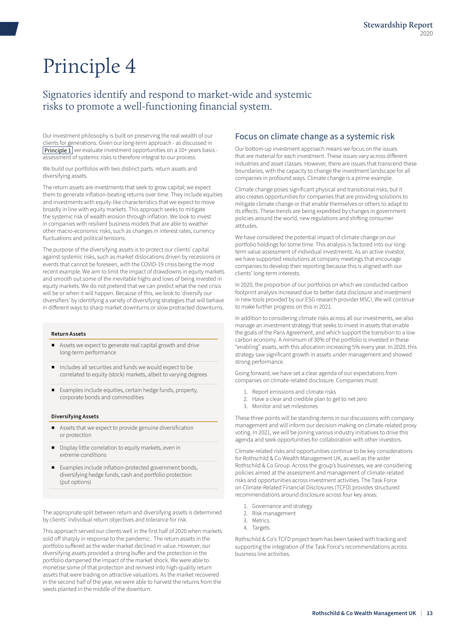## <span id="page-12-0"></span>Signatories identify and respond to market-wide and systemic risks to promote a well-functioning financial system.

Our investment philosophy is built on preserving the real wealth of our clients for generations. Given our long-term approach - as discussed in **[Principle 1](#page-3-0)** we evaluate investment opportunities on a 10+ years basis assessment of systemic risks is therefore integral to our process.

We build our portfolios with two distinct parts: return assets and diversifying assets.

The return assets are investments that seek to grow capital; we expect them to generate inflation-beating returns over time. They include equities and investments with equity-like characteristics that we expect to move broadly in line with equity markets. This approach seeks to mitigate the systemic risk of wealth erosion through inflation. We look to invest in companies with resilient business models that are able to weather other macro-economic risks, such as changes in interest rates, currency fluctuations and political tensions.

The purpose of the diversifying assets is to protect our clients' capital against systemic risks, such as market dislocations driven by recessions or events that cannot be foreseen, with the COVID-19 crisis being the most recent example. We aim to limit the impact of drawdowns in equity markets and smooth out some of the inevitable highs and lows of being invested in equity markets. We do not pretend that we can predict what the next crisis will be or when it will happen. Because of this, we look to 'diversify our diversifiers' by identifying a variety of diversifying strategies that will behave in different ways to sharp market downturns or slow protracted downturns.

#### **Return Assets**

- Assets we expect to generate real capital growth and drive long-term performance
- Includes all securities and funds we would expect to be correlated to equity (stock) markets, albeit to varying degrees
- Examples include equities, certain hedge funds, property, corporate bonds and commodities

#### **Diversifying Assets**

- Assets that we expect to provide genuine diversification or protection
- Display little correlation to equity markets, even in extreme conditions
- Examples include inflation-protected government bonds, diversifying hedge funds, cash and portfolio protection (put options)

The appropriate split between return and diversifying assets is determined by clients' individual return objectives and tolerance for risk.

This approach served our clients well in the first half of 2020 when markets sold off sharply in response to the pandemic . The return assets in the portfolio suffered as the wider market declined in value. However, our diversifying assets provided a strong buffer and the protection in the portfolio dampened the impact of the market shock. We were able to monetise some of that protection and reinvest into high-quality return assets that were trading on attractive valuations. As the market recovered in the second half of the year, we were able to harvest the returns from the seeds planted in the middle of the downturn.

#### Focus on climate change as a systemic risk

Our bottom-up investment approach means we focus on the issues that are material for each investment. These issues vary across different industries and asset classes. However, there are issues that transcend these boundaries, with the capacity to change the investment landscape for all companies in profound ways. Climate change is a prime example.

Climate change poses significant physical and transitional risks, but it also creates opportunities for companies that are providing solutions to mitigate climate change or that enable themselves or others to adapt to its effects. These trends are being expedited by changes in government policies around the world, new regulations and shifting consumer attitudes.

We have considered the potential impact of climate change on our portfolio holdings for some time. This analysis is factored into our longterm value assessment of individual investments. As an active investor, we have supported resolutions at company meetings that encourage companies to develop their reporting because this is aligned with our clients' long-term interests.

In 2020, the proportion of our portfolios on which we conducted carbon footprint analysis increased due to better data disclosure and investment in new tools provided by our ESG research provider MSCI. We will continue to make further progress on this in 2021.

In addition to considering climate risks across all our investments, we also manage an investment strategy that seeks to invest in assets that enable the goals of the Paris Agreement, and which support the transition to a low carbon economy. A minimum of 30% of the portfolio is invested in these "enabling" assets, with this allocation increasing 5% every year. In 2020, this strategy saw significant growth in assets under management and showed strong performance.

Going forward, we have set a clear agenda of our expectations from companies on climate-related disclosure. Companies must:

- 1. Report emissions and climate risks
- 2. Have a clear and credible plan to get to net zero
- 3. Monitor and set milestones

These three points will be standing items in our discussions with company management and will inform our decision-making on climate-related proxy voting. In 2021, we will be joining various industry initiatives to drive this agenda and seek opportunities for collaboration with other investors.

Climate-related risks and opportunities continue to be key considerations for Rothschild & Co Wealth Management UK, as well as the wider Rothschild & Co Group. Across the group's businesses, we are considering policies aimed at the assessment and management of climate-related risks and opportunities across investment activities. The Task Force on Climate-Related Financial Disclosures (TCFD) provides structured recommendations around disclosure across four key areas:

- 1. Governance and strategy
- 2. Risk management
- 3. Metrics
- 4. Targets

Rothschild & Co's TCFD project team has been tasked with tracking and supporting the integration of the Task Force's recommendations across business line activities.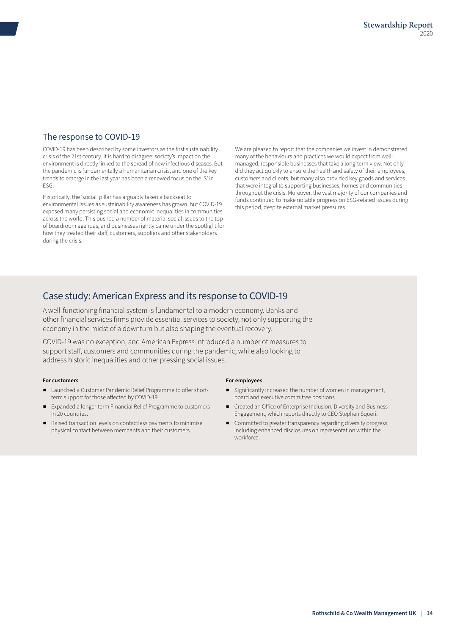### The response to COVID-19

COVID-19 has been described by some investors as the first sustainability crisis of the 21st century. It is hard to disagree; society's impact on the environment is directly linked to the spread of new infectious diseases. But the pandemic is fundamentally a humanitarian crisis, and one of the key trends to emerge in the last year has been a renewed focus on the 'S' in ESG.

Historically, the 'social' pillar has arguably taken a backseat to environmental issues as sustainability awareness has grown, but COVID-19 exposed many persisting social and economic inequalities in communities across the world. This pushed a number of material social issues to the top of boardroom agendas, and businesses rightly came under the spotlight for how they treated their staff, customers, suppliers and other stakeholders during the crisis.

We are pleased to report that the companies we invest in demonstrated many of the behaviours and practices we would expect from wellmanaged, responsible businesses that take a long-term view. Not only did they act quickly to ensure the health and safety of their employees, customers and clients, but many also provided key goods and services that were integral to supporting businesses, homes and communities throughout the crisis. Moreover, the vast majority of our companies and funds continued to make notable progress on ESG-related issues during this period, despite external market pressures.

## Case study: American Express and its response to COVID-19

A well-functioning financial system is fundamental to a modern economy. Banks and other financial services firms provide essential services to society, not only supporting the economy in the midst of a downturn but also shaping the eventual recovery.

COVID-19 was no exception, and American Express introduced a number of measures to support staff, customers and communities during the pandemic, while also looking to address historic inequalities and other pressing social issues.

#### **For customers**

- Launched a Customer Pandemic Relief Programme to offer shortterm support for those affected by COVID-19.
- Expanded a longer-term Financial Relief Programme to customers in 20 countries.
- Raised transaction levels on contactless payments to minimise physical contact between merchants and their customers.

#### **For employees**

- Significantly increased the number of women in management, board and executive committee positions.
- Created an Office of Enterprise Inclusion, Diversity and Business Engagement, which reports directly to CEO Stephen Squeri.
- Committed to greater transparency regarding diversity progress, including enhanced disclosures on representation within the workforce.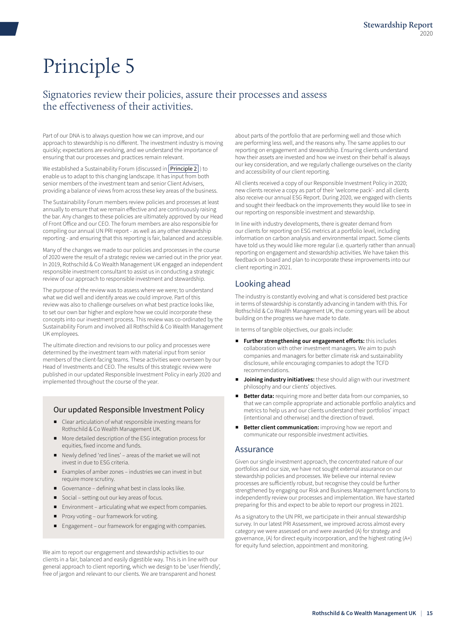## <span id="page-14-0"></span>Signatories review their policies, assure their processes and assess the effectiveness of their activities.

Part of our DNA is to always question how we can improve, and our approach to stewardship is no different. The investment industry is moving quickly; expectations are evolving, and we understand the importance of ensuring that our processes and practices remain relevant.

We established a Sustainability Forum (discussed in **[Principle 2](#page-7-0)**) to enable us to adapt to this changing landscape. It has input from both senior members of the investment team and senior Client Advisers, providing a balance of views from across these key areas of the business.

The Sustainability Forum members review policies and processes at least annually to ensure that we remain effective and are continuously raising the bar. Any changes to these policies are ultimately approved by our Head of Front Office and our CEO. The forum members are also responsible for compiling our annual UN PRI report - as well as any other stewardship reporting - and ensuring that this reporting is fair, balanced and accessible.

Many of the changes we made to our policies and processes in the course of 2020 were the result of a strategic review we carried out in the prior year. In 2019, Rothschild & Co Wealth Management UK engaged an independent responsible investment consultant to assist us in conducting a strategic review of our approach to responsible investment and stewardship.

The purpose of the review was to assess where we were; to understand what we did well and identify areas we could improve. Part of this review was also to challenge ourselves on what best practice looks like, to set our own bar higher and explore how we could incorporate these concepts into our investment process. This review was co-ordinated by the Sustainability Forum and involved all Rothschild & Co Wealth Management UK employees.

The ultimate direction and revisions to our policy and processes were determined by the investment team with material input from senior members of the client-facing teams. These activities were overseen by our Head of Investments and CEO. The results of this strategic review were published in our updated Responsible Investment Policy in early 2020 and implemented throughout the course of the year.

#### Our updated Responsible Investment Policy

- Clear articulation of what responsible investing means for Rothschild & Co Wealth Management UK.
- More detailed description of the ESG integration process for equities, fixed income and funds.
- Newly defined 'red lines' areas of the market we will not invest in due to ESG criteria.
- Examples of amber zones industries we can invest in but require more scrutiny.
- Governance defining what best in class looks like.
- Social setting out our key areas of focus.
- Environment articulating what we expect from companies.
- Proxy voting our framework for voting.
- Engagement our framework for engaging with companies.

We aim to report our engagement and stewardship activities to our clients in a fair, balanced and easily digestible way. This is in line with our general approach to client reporting, which we design to be 'user friendly', free of jargon and relevant to our clients. We are transparent and honest

about parts of the portfolio that are performing well and those which are performing less well, and the reasons why. The same applies to our reporting on engagement and stewardship. Ensuring clients understand how their assets are invested and how we invest on their behalf is always our key consideration, and we regularly challenge ourselves on the clarity and accessibility of our client reporting.

All clients received a copy of our Responsible Investment Policy in 2020; new clients receive a copy as part of their 'welcome pack'- and all clients also receive our annual ESG Report. During 2020, we engaged with clients and sought their feedback on the improvements they would like to see in our reporting on responsible investment and stewardship.

In line with industry developments, there is greater demand from our clients for reporting on ESG metrics at a portfolio level, including information on carbon analysis and environmental impact. Some clients have told us they would like more regular (i.e. quarterly rather than annual) reporting on engagement and stewardship activities. We have taken this feedback on board and plan to incorporate these improvements into our client reporting in 2021.

### Looking ahead

The industry is constantly evolving and what is considered best practice in terms of stewardship is constantly advancing in tandem with this. For Rothschild & Co Wealth Management UK, the coming years will be about building on the progress we have made to date.

In terms of tangible objectives, our goals include:

- **Further strengthening our engagement efforts:** this includes collaboration with other investment managers. We aim to push companies and managers for better climate risk and sustainability disclosure, while encouraging companies to adopt the TCFD recommendations.
- **Joining industry initiatives:** these should align with our investment philosophy and our clients' objectives.
- **Better data:** requiring more and better data from our companies, so that we can compile appropriate and actionable portfolio analytics and metrics to help us and our clients understand their portfolios' impact (intentional and otherwise) and the direction of travel.
- **Better client communication:** improving how we report and communicate our responsible investment activities.

#### Assurance

Given our single investment approach, the concentrated nature of our portfolios and our size, we have not sought external assurance on our stewardship policies and processes. We believe our internal review processes are sufficiently robust, but recognise they could be further strengthened by engaging our Risk and Business Management functions to independently review our processes and implementation. We have started preparing for this and expect to be able to report our progress in 2021.

As a signatory to the UN PRI, we participate in their annual stewardship survey. In our latest PRI Assessment, we improved across almost every category we were assessed on and were awarded (A) for strategy and governance, (A) for direct equity incorporation, and the highest rating (A+) for equity fund selection, appointment and monitoring.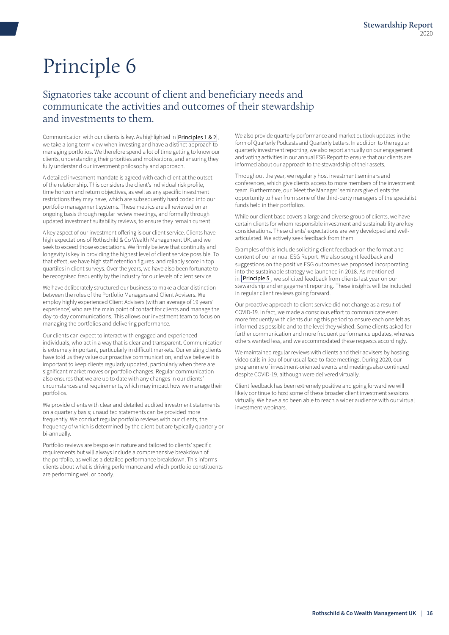## <span id="page-15-0"></span>Signatories take account of client and beneficiary needs and communicate the activities and outcomes of their stewardship and investments to them.

Communication with our clients is key. As highlighted in **[Principles 1 & 2](#page-3-0)**, we take a long-term view when investing and have a distinct approach to managing portfolios. We therefore spend a lot of time getting to know our clients, understanding their priorities and motivations, and ensuring they fully understand our investment philosophy and approach.

A detailed investment mandate is agreed with each client at the outset of the relationship. This considers the client's individual risk profile, time horizon and return objectives, as well as any specific investment restrictions they may have, which are subsequently hard coded into our portfolio management systems. These metrics are all reviewed on an ongoing basis through regular review meetings, and formally through updated investment suitability reviews, to ensure they remain current.

A key aspect of our investment offering is our client service. Clients have high expectations of Rothschild & Co Wealth Management UK, and we seek to exceed those expectations. We firmly believe that continuity and longevity is key in providing the highest level of client service possible. To that effect, we have high staff retention figures and reliably score in top quartiles in client surveys. Over the years, we have also been fortunate to be recognised frequently by the industry for our levels of client service.

We have deliberately structured our business to make a clear distinction between the roles of the Portfolio Managers and Client Advisers. We employ highly experienced Client Advisers (with an average of 19 years' experience) who are the main point of contact for clients and manage the day-to-day communications. This allows our investment team to focus on managing the portfolios and delivering performance.

Our clients can expect to interact with engaged and experienced individuals, who act in a way that is clear and transparent. Communication is extremely important, particularly in difficult markets. Our existing clients have told us they value our proactive communication, and we believe it is important to keep clients regularly updated, particularly when there are significant market moves or portfolio changes. Regular communication also ensures that we are up to date with any changes in our clients' circumstances and requirements, which may impact how we manage their portfolios.

We provide clients with clear and detailed audited investment statements on a quarterly basis; unaudited statements can be provided more frequently. We conduct regular portfolio reviews with our clients, the frequency of which is determined by the client but are typically quarterly or bi-annually.

Portfolio reviews are bespoke in nature and tailored to clients' specific requirements but will always include a comprehensive breakdown of the portfolio, as well as a detailed performance breakdown. This informs clients about what is driving performance and which portfolio constituents are performing well or poorly.

We also provide quarterly performance and market outlook updates in the form of Quarterly Podcasts and Quarterly Letters. In addition to the regular quarterly investment reporting, we also report annually on our engagement and voting activities in our annual ESG Report to ensure that our clients are informed about our approach to the stewardship of their assets.

Throughout the year, we regularly host investment seminars and conferences, which give clients access to more members of the investment team. Furthermore, our 'Meet the Manager' seminars give clients the opportunity to hear from some of the third-party managers of the specialist funds held in their portfolios.

While our client base covers a large and diverse group of clients, we have certain clients for whom responsible investment and sustainability are key considerations. These clients' expectations are very developed and wellarticulated. We actively seek feedback from them.

Examples of this include soliciting client feedback on the format and content of our annual ESG Report. We also sought feedback and suggestions on the positive ESG outcomes we proposed incorporating into the sustainable strategy we launched in 2018. As mentioned  $\ln$  [Principle 5](#page-14-0), we solicited feedback from clients last year on our stewardship and engagement reporting. These insights will be included in regular client reviews going forward.

Our proactive approach to client service did not change as a result of COVID-19. In fact, we made a conscious effort to communicate even more frequently with clients during this period to ensure each one felt as informed as possible and to the level they wished. Some clients asked for further communication and more frequent performance updates, whereas others wanted less, and we accommodated these requests accordingly.

We maintained regular reviews with clients and their advisers by hosting video calls in lieu of our usual face-to-face meetings. During 2020, our programme of investment-oriented events and meetings also continued despite COVID-19, although were delivered virtually.

Client feedback has been extremely positive and going forward we will likely continue to host some of these broader client investment sessions virtually. We have also been able to reach a wider audience with our virtual investment webinars.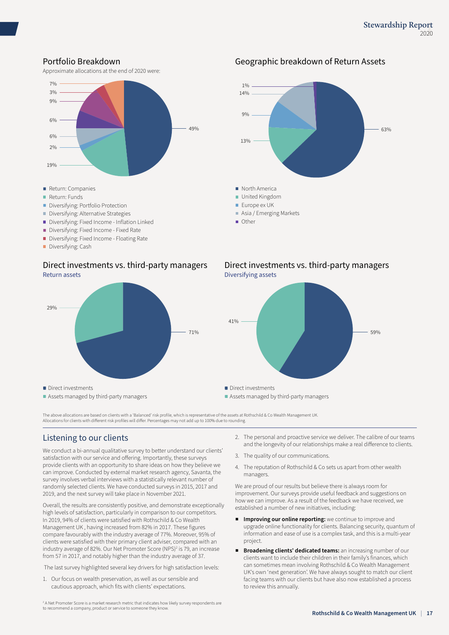### Portfolio Breakdown

Approximate allocations at the end of 2020 were:



- Diversifying: Fixed Income Inflation Linked
- Diversifying: Fixed Income Fixed Rate
- Diversifying: Fixed Income Floating Rate
- Diversifying: Cash

#### Direct investments vs. third-party managers Return assets



### Geographic breakdown of Return Assets



#### Direct investments vs. third-party managers Diversifying assets



The above allocations are based on clients with a 'Balanced' risk profile, which is representative of the assets at Rothschild & Co Wealth Management UK. Allocations for clients with different risk profiles will differ. Percentages may not add up to 100% due to rounding.

### Listening to our clients

We conduct a bi-annual qualitative survey to better understand our clients' satisfaction with our service and offering. Importantly, these surveys provide clients with an opportunity to share ideas on how they believe we can improve. Conducted by external market research agency, Savanta, the survey involves verbal interviews with a statistically relevant number of randomly selected clients. We have conducted surveys in 2015, 2017 and 2019, and the next survey will take place in November 2021.

Overall, the results are consistently positive, and demonstrate exceptionally high levels of satisfaction, particularly in comparison to our competitors. In 2019, 94% of clients were satisfied with Rothschild & Co Wealth Management UK , having increased from 82% in 2017. These figures compare favourably with the industry average of 77%. Moreover, 95% of clients were satisfied with their primary client adviser, compared with an industry average of 82%. Our Net Promoter Score (NPS)<sup>2</sup> is 79, an increase from 57 in 2017, and notably higher than the industry average of 37.

The last survey highlighted several key drivers for high satisfaction levels:

1. Our focus on wealth preservation, as well as our sensible and cautious approach, which fits with clients' expectations.

- 2. The personal and proactive service we deliver. The calibre of our teams and the longevity of our relationships make a real difference to clients.
- 3. The quality of our communications.
- 4. The reputation of Rothschild & Co sets us apart from other wealth managers.

We are proud of our results but believe there is always room for improvement. Our surveys provide useful feedback and suggestions on how we can improve. As a result of the feedback we have received, we established a number of new initiatives, including:

- **Improving our online reporting:** we continue to improve and upgrade online functionality for clients. Balancing security, quantum of information and ease of use is a complex task, and this is a multi-year project.
- **Broadening clients' dedicated teams:** an increasing number of our clients want to include their children in their family's finances, which can sometimes mean involving Rothschild & Co Wealth Management UK's own 'next generation'. We have always sought to match our client facing teams with our clients but have also now established a process to review this annually.

2 A Net Promoter Score is a market research metric that indicates how likely survey respondents are to recommend a company, product or service to someone they know.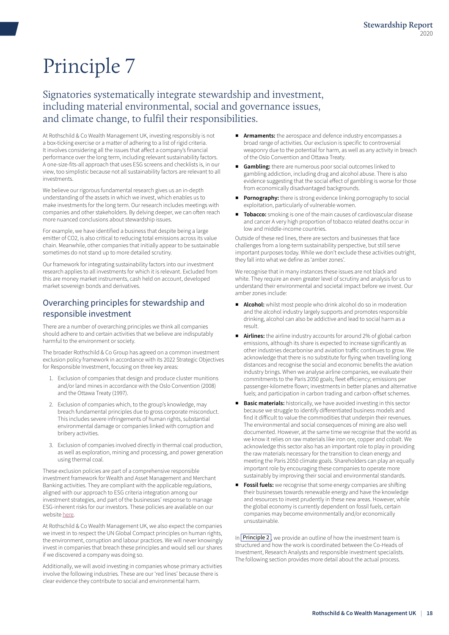## <span id="page-17-0"></span>Signatories systematically integrate stewardship and investment, including material environmental, social and governance issues, and climate change, to fulfil their responsibilities.

At Rothschild & Co Wealth Management UK, investing responsibly is not a box-ticking exercise or a matter of adhering to a list of rigid criteria. It involves considering all the issues that affect a company's financial performance over the long term, including relevant sustainability factors. A one-size-fits-all approach that uses ESG screens and checklists is, in our view, too simplistic because not all sustainability factors are relevant to all investments.

We believe our rigorous fundamental research gives us an in-depth understanding of the assets in which we invest, which enables us to make investments for the long term. Our research includes meetings with companies and other stakeholders. By delving deeper, we can often reach more nuanced conclusions about stewardship issues.

For example, we have identified a business that despite being a large emitter of CO2, is also critical to reducing total emissions across its value chain. Meanwhile, other companies that initially appear to be sustainable sometimes do not stand up to more detailed scrutiny.

Our framework for integrating sustainability factors into our investment research applies to all investments for which it is relevant. Excluded from this are money market instruments, cash held on account, developed market sovereign bonds and derivatives.

### Overarching principles for stewardship and responsible investment

There are a number of overarching principles we think all companies should adhere to and certain activities that we believe are indisputably harmful to the environment or society.

The broader Rothschild & Co Group has agreed on a common investment exclusion policy framework in accordance with its 2022 Strategic Objectives for Responsible Investment, focusing on three key areas:

- 1. Exclusion of companies that design and produce cluster munitions and/or land mines in accordance with the Oslo Convention (2008) and the Ottawa Treaty (1997).
- 2. Exclusion of companies which, to the group's knowledge, may breach fundamental principles due to gross corporate misconduct. This includes severe infringements of human rights, substantial environmental damage or companies linked with corruption and bribery activities.
- 3. Exclusion of companies involved directly in thermal coal production, as well as exploration, mining and processing, and power generation using thermal coal.

These exclusion policies are part of a comprehensive responsible investment framework for Wealth and Asset Management and Merchant Banking activities. They are compliant with the applicable regulations, aligned with our approach to ESG criteria integration among our investment strategies, and part of the businesses' response to manage ESG-inherent risks for our investors. These policies are available on our website [here.](https://www.rothschildandco.com/en/who-we-are/corporate-responsibility/responsible-investment/public-group-policies/ )

At Rothschild & Co Wealth Management UK, we also expect the companies we invest in to respect the UN Global Compact principles on human rights, the environment, corruption and labour practices. We will never knowingly invest in companies that breach these principles and would sell our shares if we discovered a company was doing so.

Additionally, we will avoid investing in companies whose primary activities involve the following industries. These are our 'red lines' because there is clear evidence they contribute to social and environmental harm.

- Armaments: the aerospace and defence industry encompasses a broad range of activities. Our exclusion is specific to controversial weaponry due to the potential for harm, as well as any activity in breach of the Oslo Convention and Ottawa Treaty.
- **Gambling:** there are numerous poor social outcomes linked to gambling addiction, including drug and alcohol abuse. There is also evidence suggesting that the social effect of gambling is worse for those from economically disadvantaged backgrounds.
- **Pornography:** there is strong evidence linking pornography to social exploitation, particularly of vulnerable women.
- Tobacco: smoking is one of the main causes of cardiovascular disease and cancer A very high proportion of tobacco related deaths occur in low and middle-income countries.

Outside of these red lines, there are sectors and businesses that face challenges from a long-term sustainability perspective, but still serve important purposes today. While we don't exclude these activities outright, they fall into what we define as 'amber zones'.

We recognise that in many instances these issues are not black and white. They require an even greater level of scrutiny and analysis for us to understand their environmental and societal impact before we invest. Our amber zones include:

- Alcohol: whilst most people who drink alcohol do so in moderation and the alcohol industry largely supports and promotes responsible drinking, alcohol can also be addictive and lead to social harm as a result.
- Airlines: the airline industry accounts for around 2% of global carbon emissions, although its share is expected to increase significantly as other industries decarbonise and aviation traffic continues to grow. We acknowledge that there is no substitute for flying when travelling long distances and recognise the social and economic benefits the aviation industry brings. When we analyse airline companies, we evaluate their commitments to the Paris 2050 goals; fleet efficiency; emissions per passenger-kilometre flown; investments in better planes and alternative fuels; and participation in carbon trading and carbon-offset schemes.
- **Basic materials:** historically, we have avoided investing in this sector because we struggle to identify differentiated business models and find it difficult to value the commodities that underpin their revenues. The environmental and social consequences of mining are also well documented. However, at the same time we recognise that the world as we know it relies on raw materials like iron ore, copper and cobalt. We acknowledge this sector also has an important role to play in providing the raw materials necessary for the transition to clean energy and meeting the Paris 2050 climate goals. Shareholders can play an equally important role by encouraging these companies to operate more sustainably by improving their social and environmental standards.
- **Fossil fuels:** we recognise that some energy companies are shifting their businesses towards renewable energy and have the knowledge and resources to invest prudently in these new areas. However, while the global economy is currently dependent on fossil fuels, certain companies may become environmentally and/or economically unsustainable.

In **[Principle 2](#page-7-0)**, we provide an outline of how the investment team is structured and how the work is coordinated between the Co-Heads of Investment, Research Analysts and responsible investment specialists. The following section provides more detail about the actual process.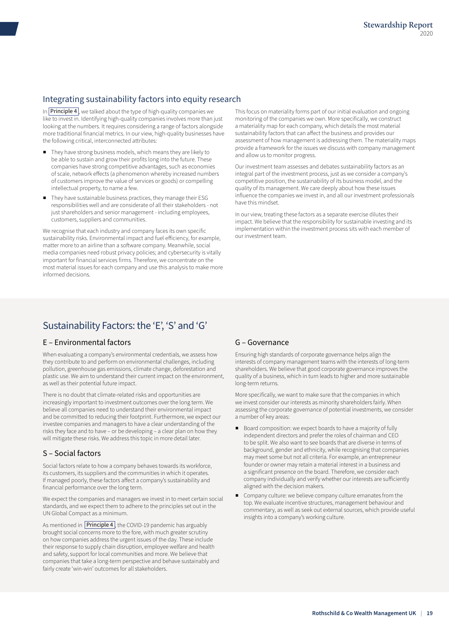### Integrating sustainability factors into equity research

In  $\boxed{\text{Principle 4}}$  $\boxed{\text{Principle 4}}$  $\boxed{\text{Principle 4}}$ , we talked about the type of high-quality companies we like to invest in. Identifying high-quality companies involves more than just looking at the numbers. It requires considering a range of factors alongside more traditional financial metrics. In our view, high-quality businesses have the following critical, interconnected attributes:

- They have strong business models, which means they are likely to be able to sustain and grow their profits long into the future. These companies have strong competitive advantages, such as economies of scale, network effects (a phenomenon whereby increased numbers of customers improve the value of services or goods) or compelling intellectual property, to name a few.
- They have sustainable business practices, they manage their ESG responsibilities well and are considerate of all their stakeholders - not just shareholders and senior management - including employees, customers, suppliers and communities.

We recognise that each industry and company faces its own specific sustainability risks. Environmental impact and fuel efficiency, for example, matter more to an airline than a software company. Meanwhile, social media companies need robust privacy policies; and cybersecurity is vitally important for financial services firms. Therefore, we concentrate on the most material issues for each company and use this analysis to make more informed decisions.

This focus on materiality forms part of our initial evaluation and ongoing monitoring of the companies we own. More specifically, we construct a materiality map for each company, which details the most material sustainability factors that can affect the business and provides our assessment of how management is addressing them. The materiality maps provide a framework for the issues we discuss with company management and allow us to monitor progress.

Our investment team assesses and debates sustainability factors as an integral part of the investment process, just as we consider a company's competitive position, the sustainability of its business model, and the quality of its management. We care deeply about how these issues influence the companies we invest in, and all our investment professionals have this mindset.

In our view, treating these factors as a separate exercise dilutes their impact. We believe that the responsibility for sustainable investing and its implementation within the investment process sits with each member of our investment team.

## Sustainability Factors: the 'E', 'S' and 'G'

#### E – Environmental factors

When evaluating a company's environmental credentials, we assess how they contribute to and perform on environmental challenges, including pollution, greenhouse gas emissions, climate change, deforestation and plastic use. We aim to understand their current impact on the environment, as well as their potential future impact.

There is no doubt that climate-related risks and opportunities are increasingly important to investment outcomes over the long term. We believe all companies need to understand their environmental impact and be committed to reducing their footprint. Furthermore, we expect our investee companies and managers to have a clear understanding of the risks they face and to have – or be developing – a clear plan on how they will mitigate these risks. We address this topic in more detail later.

#### S – Social factors

Social factors relate to how a company behaves towards its workforce, its customers, its suppliers and the communities in which it operates. If managed poorly, these factors affect a company's sustainability and financial performance over the long term.

We expect the companies and managers we invest in to meet certain social standards, and we expect them to adhere to the principles set out in the UN Global Compact as a minimum.

As mentioned in **[Principle 4](#page-12-0)**, the COVID-19 pandemic has arguably brought social concerns more to the fore, with much greater scrutiny on how companies address the urgent issues of the day. These include their response to supply chain disruption, employee welfare and health and safety, support for local communities and more. We believe that companies that take a long-term perspective and behave sustainably and fairly create 'win-win' outcomes for all stakeholders.

### G – Governance

Ensuring high standards of corporate governance helps align the interests of company management teams with the interests of long-term shareholders. We believe that good corporate governance improves the quality of a business, which in turn leads to higher and more sustainable long-term returns.

More specifically, we want to make sure that the companies in which we invest consider our interests as minority shareholders fairly. When assessing the corporate governance of potential investments, we consider a number of key areas:

- Board composition: we expect boards to have a majority of fully independent directors and prefer the roles of chairman and CEO to be split. We also want to see boards that are diverse in terms of background, gender and ethnicity, while recognising that companies may meet some but not all criteria. For example, an entrepreneur founder or owner may retain a material interest in a business and a significant presence on the board. Therefore, we consider each company individually and verify whether our interests are sufficiently aligned with the decision makers.
- Company culture: we believe company culture emanates from the top. We evaluate incentive structures, management behaviour and commentary, as well as seek out external sources, which provide useful insights into a company's working culture.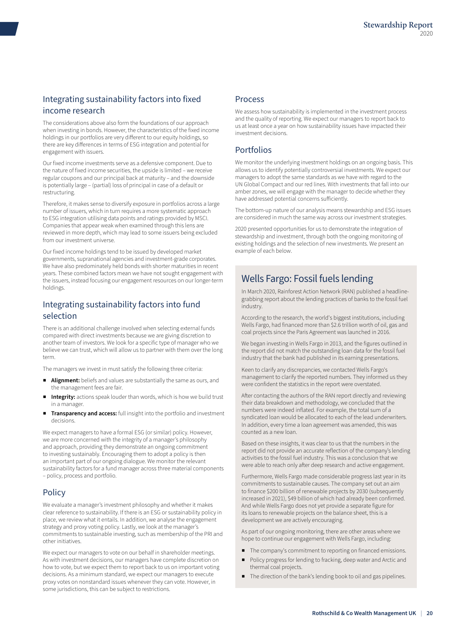## Integrating sustainability factors into fixed income research

The considerations above also form the foundations of our approach when investing in bonds. However, the characteristics of the fixed income holdings in our portfolios are very different to our equity holdings, so there are key differences in terms of ESG integration and potential for engagement with issuers.

Our fixed income investments serve as a defensive component. Due to the nature of fixed income securities, the upside is limited – we receive regular coupons and our principal back at maturity – and the downside is potentially large – (partial) loss of principal in case of a default or restructuring.

Therefore, it makes sense to diversify exposure in portfolios across a large number of issuers, which in turn requires a more systematic approach to ESG integration utilising data points and ratings provided by MSCI. Companies that appear weak when examined through this lens are reviewed in more depth, which may lead to some issuers being excluded from our investment universe.

Our fixed income holdings tend to be issued by developed market governments, supranational agencies and investment-grade corporates. We have also predominately held bonds with shorter maturities in recent years. These combined factors mean we have not sought engagement with the issuers, instead focusing our engagement resources on our longer-term holdings.

### Integrating sustainability factors into fund selection

There is an additional challenge involved when selecting external funds compared with direct investments because we are giving discretion to another team of investors. We look for a specific type of manager who we believe we can trust, which will allow us to partner with them over the long term.

The managers we invest in must satisfy the following three criteria:

- Alignment: beliefs and values are substantially the same as ours, and the management fees are fair.
- **Integrity:** actions speak louder than words, which is how we build trust in a manager.
- **Transparency and access:** full insight into the portfolio and investment decisions.

We expect managers to have a formal ESG (or similar) policy. However, we are more concerned with the integrity of a manager's philosophy and approach, providing they demonstrate an ongoing commitment to investing sustainably. Encouraging them to adopt a policy is then an important part of our ongoing dialogue. We monitor the relevant sustainability factors for a fund manager across three material components – policy, process and portfolio.

### **Policy**

We evaluate a manager's investment philosophy and whether it makes clear reference to sustainability. If there is an ESG or sustainability policy in place, we review what it entails. In addition, we analyse the engagement strategy and proxy voting policy. Lastly, we look at the manager's commitments to sustainable investing, such as membership of the PRI and other initiatives.

We expect our managers to vote on our behalf in shareholder meetings. As with investment decisions, our managers have complete discretion on how to vote, but we expect them to report back to us on important voting decisions. As a minimum standard, we expect our managers to execute proxy votes on nonstandard issues whenever they can vote. However, in some jurisdictions, this can be subject to restrictions.

#### Process

We assess how sustainability is implemented in the investment process and the quality of reporting. We expect our managers to report back to us at least once a year on how sustainability issues have impacted their investment decisions.

#### Portfolios

We monitor the underlying investment holdings on an ongoing basis. This allows us to identify potentially controversial investments. We expect our managers to adopt the same standards as we have with regard to the UN Global Compact and our red lines. With investments that fall into our amber zones, we will engage with the manager to decide whether they have addressed potential concerns sufficiently.

The bottom-up nature of our analysis means stewardship and ESG issues are considered in much the same way across our investment strategies.

2020 presented opportunities for us to demonstrate the integration of stewardship and investment, through both the ongoing monitoring of existing holdings and the selection of new investments. We present an example of each below.

## Wells Fargo: Fossil fuels lending

In March 2020, Rainforest Action Network (RAN) published a headlinegrabbing report about the lending practices of banks to the fossil fuel industry.

According to the research, the world's biggest institutions, including Wells Fargo, had financed more than \$2.6 trillion worth of oil, gas and coal projects since the Paris Agreement was launched in 2016.

We began investing in Wells Fargo in 2013, and the figures outlined in the report did not match the outstanding loan data for the fossil fuel industry that the bank had published in its earning presentations.

Keen to clarify any discrepancies, we contacted Wells Fargo's management to clarify the reported numbers. They informed us they were confident the statistics in the report were overstated.

After contacting the authors of the RAN report directly and reviewing their data breakdown and methodology, we concluded that the numbers were indeed inflated. For example, the total sum of a syndicated loan would be allocated to each of the lead underwriters. In addition, every time a loan agreement was amended, this was counted as a new loan.

Based on these insights, it was clear to us that the numbers in the report did not provide an accurate reflection of the company's lending activities to the fossil fuel industry. This was a conclusion that we were able to reach only after deep research and active engagement.

Furthermore, Wells Fargo made considerable progress last year in its commitments to sustainable causes. The company set out an aim to finance \$200 billion of renewable projects by 2030 (subsequently increased in 2021), \$49 billion of which had already been confirmed. And while Wells Fargo does not yet provide a separate figure for its loans to renewable projects on the balance sheet, this is a development we are actively encouraging.

As part of our ongoing monitoring, there are other areas where we hope to continue our engagement with Wells Fargo, including:

- The company's commitment to reporting on financed emissions.
- Policy progress for lending to fracking, deep water and Arctic and thermal coal projects.
- The direction of the bank's lending book to oil and gas pipelines.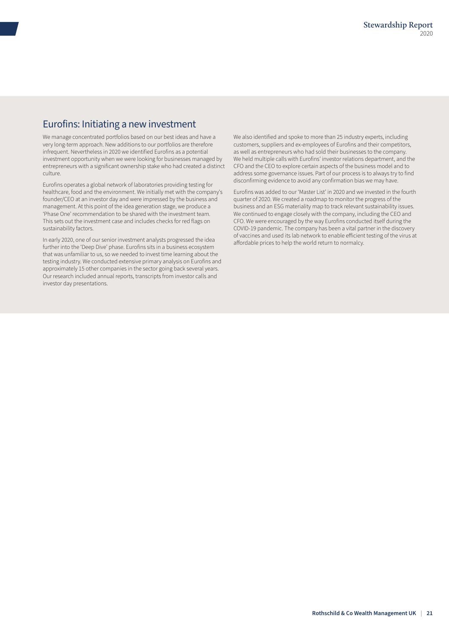## Eurofins: Initiating a new investment

We manage concentrated portfolios based on our best ideas and have a very long-term approach. New additions to our portfolios are therefore infrequent. Nevertheless in 2020 we identified Eurofins as a potential investment opportunity when we were looking for businesses managed by entrepreneurs with a significant ownership stake who had created a distinct culture.

Eurofins operates a global network of laboratories providing testing for healthcare, food and the environment. We initially met with the company's founder/CEO at an investor day and were impressed by the business and management. At this point of the idea generation stage, we produce a 'Phase One' recommendation to be shared with the investment team. This sets out the investment case and includes checks for red flags on sustainability factors.

In early 2020, one of our senior investment analysts progressed the idea further into the 'Deep Dive' phase. Eurofins sits in a business ecosystem that was unfamiliar to us, so we needed to invest time learning about the testing industry. We conducted extensive primary analysis on Eurofins and approximately 15 other companies in the sector going back several years. Our research included annual reports, transcripts from investor calls and investor day presentations.

We also identified and spoke to more than 25 industry experts, including customers, suppliers and ex-employees of Eurofins and their competitors, as well as entrepreneurs who had sold their businesses to the company. We held multiple calls with Eurofins' investor relations department, and the CFO and the CEO to explore certain aspects of the business model and to address some governance issues. Part of our process is to always try to find disconfirming evidence to avoid any confirmation bias we may have.

Eurofins was added to our 'Master List' in 2020 and we invested in the fourth quarter of 2020. We created a roadmap to monitor the progress of the business and an ESG materiality map to track relevant sustainability issues. We continued to engage closely with the company, including the CEO and CFO. We were encouraged by the way Eurofins conducted itself during the COVID-19 pandemic. The company has been a vital partner in the discovery of vaccines and used its lab network to enable efficient testing of the virus at affordable prices to help the world return to normalcy.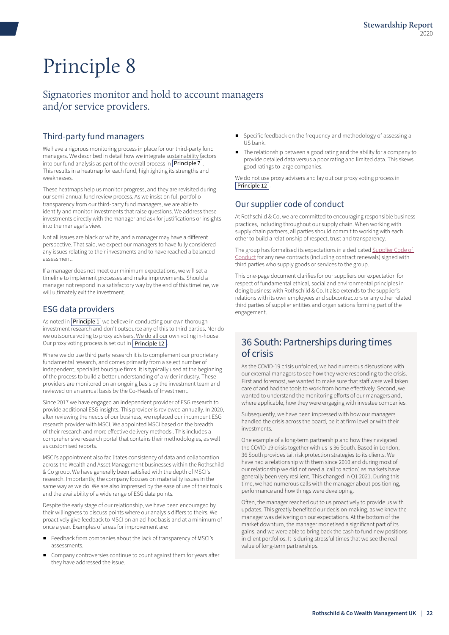## <span id="page-21-0"></span>Signatories monitor and hold to account managers and/or service providers.

## Third-party fund managers

We have a rigorous monitoring process in place for our third-party fund managers. We described in detail how we integrate sustainability factors into our fund analysis as part of the overall process in **[Principle 7](#page-17-0)**. This results in a heatmap for each fund, highlighting its strengths and weaknesses.

These heatmaps help us monitor progress, and they are revisited during our semi-annual fund review process. As we insist on full portfolio transparency from our third-party fund managers, we are able to identify and monitor investments that raise questions. We address these investments directly with the manager and ask for justifications or insights into the manager's view.

Not all issues are black or white, and a manager may have a different perspective. That said, we expect our managers to have fully considered any issues relating to their investments and to have reached a balanced assessment.

If a manager does not meet our minimum expectations, we will set a timeline to implement processes and make improvements. Should a manager not respond in a satisfactory way by the end of this timeline, we will ultimately exit the investment.

## ESG data providers

As noted in  $\boxed{\text{Principle 1}}$  $\boxed{\text{Principle 1}}$  $\boxed{\text{Principle 1}}$  we believe in conducting our own thorough investment research and don't outsource any of this to third parties. Nor do we outsource voting to proxy advisers. We do all our own voting in-house. Our proxy voting process is set out in **[Principle 12](#page-25-0)** 

Where we do use third party research it is to complement our proprietary fundamental research, and comes primarily from a select number of independent, specialist boutique firms. It is typically used at the beginning of the process to build a better understanding of a wider industry. These providers are monitored on an ongoing basis by the investment team and reviewed on an annual basis by the Co-Heads of Investment.

Since 2017 we have engaged an independent provider of ESG research to provide additional ESG insights. This provider is reviewed annually. In 2020, after reviewing the needs of our business, we replaced our incumbent ESG research provider with MSCI. We appointed MSCI based on the breadth of their research and more effective delivery methods . This includes a comprehensive research portal that contains their methodologies, as well as customised reports.

MSCI's appointment also facilitates consistency of data and collaboration across the Wealth and Asset Management businesses within the Rothschild & Co group. We have generally been satisfied with the depth of MSCI's research. Importantly, the company focuses on materiality issues in the same way as we do. We are also impressed by the ease of use of their tools and the availability of a wide range of ESG data points.

Despite the early stage of our relationship, we have been encouraged by their willingness to discuss points where our analysis differs to theirs. We proactively give feedback to MSCI on an ad-hoc basis and at a minimum of once a year. Examples of areas for improvement are:

- Feedback from companies about the lack of transparency of MSCI's assessments.
- Company controversies continue to count against them for years after they have addressed the issue.
- Specific feedback on the frequency and methodology of assessing a US bank.
- The relationship between a good rating and the ability for a company to provide detailed data versus a poor rating and limited data. This skews good ratings to large companies.

We do not use proxy advisers and lay out our proxy voting process in [Principle 12](#page-25-0)

## Our supplier code of conduct

At Rothschild & Co, we are committed to encouraging responsible business practices, including throughout our supply chain. When working with supply chain partners, all parties should commit to working with each other to build a relationship of respect, trust and transparency.

The group has formalised its expectations in a dedicated [Supplier Code of](https://eur02.safelinks.protection.outlook.com/ap/b-59584e83/?url=https%3A%2F%2Freachbcp1.sharepoint.com%2Fsites%2Fintranet%2Fallstaff%2FShared%2520Documents%2FGlobal%2FGroup%2520Policies%2FEN_Supplier_Code_of_Conduct_Policy_06-2021.pdf&data=04%7C01%7CAmy.Ford%40rothschildandco.com%7C3331efe9813a4160221f08d99967c1fa%7Ca3a61790e8ca448ab1bee046da74a581%7C0%7C0%7C637709493258330809%7CUnknown%7CTWFpbGZsb3d8eyJWIjoiMC4wLjAwMDAiLCJQIjoiV2luMzIiLCJBTiI6Ik1haWwiLCJXVCI6Mn0%3D%7C3000&sdata=2eUwpc43k%2BlDXRMt1cPGndPOpih4houbOxyPmnw0xrI%3D&reserved=0)  [Conduct](https://eur02.safelinks.protection.outlook.com/ap/b-59584e83/?url=https%3A%2F%2Freachbcp1.sharepoint.com%2Fsites%2Fintranet%2Fallstaff%2FShared%2520Documents%2FGlobal%2FGroup%2520Policies%2FEN_Supplier_Code_of_Conduct_Policy_06-2021.pdf&data=04%7C01%7CAmy.Ford%40rothschildandco.com%7C3331efe9813a4160221f08d99967c1fa%7Ca3a61790e8ca448ab1bee046da74a581%7C0%7C0%7C637709493258330809%7CUnknown%7CTWFpbGZsb3d8eyJWIjoiMC4wLjAwMDAiLCJQIjoiV2luMzIiLCJBTiI6Ik1haWwiLCJXVCI6Mn0%3D%7C3000&sdata=2eUwpc43k%2BlDXRMt1cPGndPOpih4houbOxyPmnw0xrI%3D&reserved=0) for any new contracts (including contract renewals) signed with third parties who supply goods or services to the group.

This one-page document clarifies for our suppliers our expectation for respect of fundamental ethical, social and environmental principles in doing business with Rothschild & Co. It also extends to the supplier's relations with its own employees and subcontractors or any other related third parties of supplier entities and organisations forming part of the engagement.

## 36 South: Partnerships during times of crisis

As the COVID-19 crisis unfolded, we had numerous discussions with our external managers to see how they were responding to the crisis. First and foremost, we wanted to make sure that staff were well taken care of and had the tools to work from home effectively. Second, we wanted to understand the monitoring efforts of our managers and, where applicable, how they were engaging with investee companies.

Subsequently, we have been impressed with how our managers handled the crisis across the board, be it at firm level or with their investments.

One example of a long-term partnership and how they navigated the COVID-19 crisis together with us is 36 South. Based in London, 36 South provides tail risk protection strategies to its clients. We have had a relationship with them since 2010 and during most of our relationship we did not need a 'call to action', as markets have generally been very resilient. This changed in Q1 2021. During this time, we had numerous calls with the manager about positioning, performance and how things were developing.

Often, the manager reached out to us proactively to provide us with updates. This greatly benefited our decision-making, as we knew the manager was delivering on our expectations. At the bottom of the market downturn, the manager monetised a significant part of its gains, and we were able to bring back the cash to fund new positions in client portfolios. It is during stressful times that we see the real value of long-term partnerships.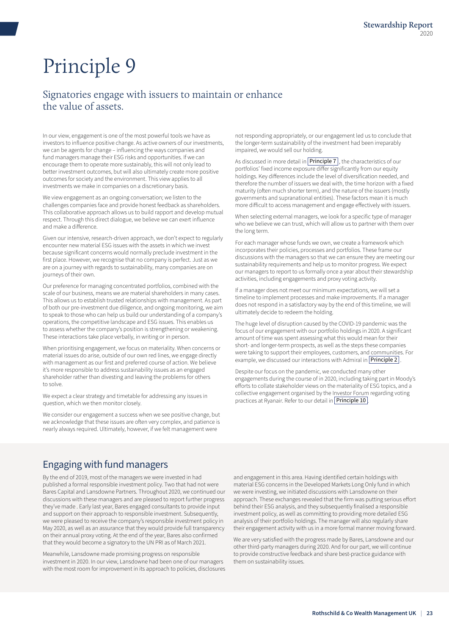## <span id="page-22-0"></span>Signatories engage with issuers to maintain or enhance the value of assets.

In our view, engagement is one of the most powerful tools we have as investors to influence positive change. As active owners of our investments, we can be agents for change – influencing the ways companies and fund managers manage their ESG risks and opportunities. If we can encourage them to operate more sustainably, this will not only lead to better investment outcomes, but will also ultimately create more positive outcomes for society and the environment. This view applies to all investments we make in companies on a discretionary basis.

We view engagement as an ongoing conversation; we listen to the challenges companies face and provide honest feedback as shareholders. This collaborative approach allows us to build rapport and develop mutual respect. Through this direct dialogue, we believe we can exert influence and make a difference.

Given our intensive, research-driven approach, we don't expect to regularly encounter new material ESG issues with the assets in which we invest because significant concerns would normally preclude investment in the first place. However, we recognise that no company is perfect. Just as we are on a journey with regards to sustainability, many companies are on journeys of their own.

Our preference for managing concentrated portfolios, combined with the scale of our business, means we are material shareholders in many cases. This allows us to establish trusted relationships with management. As part of both our pre-investment due diligence, and ongoing monitoring, we aim to speak to those who can help us build our understanding of a company's operations, the competitive landscape and ESG issues. This enables us to assess whether the company's position is strengthening or weakening. These interactions take place verbally, in writing or in person.

When prioritising engagement, we focus on materiality. When concerns or material issues do arise, outside of our own red lines, we engage directly with management as our first and preferred course of action. We believe it's more responsible to address sustainability issues as an engaged shareholder rather than divesting and leaving the problems for others to solve.

We expect a clear strategy and timetable for addressing any issues in question, which we then monitor closely.

We consider our engagement a success when we see positive change, but we acknowledge that these issues are often very complex, and patience is nearly always required. Ultimately, however, if we felt management were

## Engaging with fund managers

By the end of 2019, most of the managers we were invested in had published a formal responsible investment policy. Two that had not were Bares Capital and Lansdowne Partners. Throughout 2020, we continued our discussions with these managers and are pleased to report further progress they've made . Early last year, Bares engaged consultants to provide input and support on their approach to responsible investment. Subsequently, we were pleased to receive the company's responsible investment policy in May 2020, as well as an assurance that they would provide full transparency on their annual proxy voting. At the end of the year, Bares also confirmed that they would become a signatory to the UN PRI as of March 2021.

Meanwhile, Lansdowne made promising progress on responsible investment in 2020. In our view, Lansdowne had been one of our managers with the most room for improvement in its approach to policies, disclosures not responding appropriately, or our engagement led us to conclude that the longer-term sustainability of the investment had been irreparably impaired, we would sell our holding.

As discussed in more detail in  $\boxed{\text{Principle 7}}$  $\boxed{\text{Principle 7}}$  $\boxed{\text{Principle 7}}$ , the characteristics of our portfolios' fixed income exposure differ significantly from our equity holdings. Key differences include the level of diversification needed, and therefore the number of issuers we deal with, the time horizon with a fixed maturity (often much shorter term), and the nature of the issuers (mostly governments and supranational entities). These factors mean it is much more difficult to access management and engage effectively with issuers.

When selecting external managers, we look for a specific type of manager who we believe we can trust, which will allow us to partner with them over the long term.

For each manager whose funds we own, we create a framework which incorporates their policies, processes and portfolios. These frame our discussions with the managers so that we can ensure they are meeting our sustainability requirements and help us to monitor progress. We expect our managers to report to us formally once a year about their stewardship activities, including engagements and proxy voting activity.

If a manager does not meet our minimum expectations, we will set a timeline to implement processes and make improvements. If a manager does not respond in a satisfactory way by the end of this timeline, we will ultimately decide to redeem the holding.

The huge level of disruption caused by the COVID-19 pandemic was the focus of our engagement with our portfolio holdings in 2020. A significant amount of time was spent assessing what this would mean for their short- and longer-term prospects, as well as the steps these companies were taking to support their employees, customers, and communities. For example, we discussed our interactions with Admiral in **[Principle 2](#page-7-0)** 

Despite our focus on the pandemic, we conducted many other engagements during the course of in 2020, including taking part in Moody's efforts to collate stakeholder views on the materiality of ESG topics, and a collective engagement organised by the Investor Forum regarding voting practices at Ryanair. Refer to our detail in **[Principle 10](#page-23-0)** 

and engagement in this area. Having identified certain holdings with material ESG concerns in the Developed Markets Long Only fund in which we were investing, we initiated discussions with Lansdowne on their approach. These exchanges revealed that the firm was putting serious effort behind their ESG analysis, and they subsequently finalised a responsible investment policy, as well as committing to providing more detailed ESG analysis of their portfolio holdings. The manager will also regularly share their engagement activity with us in a more formal manner moving forward.

We are very satisfied with the progress made by Bares, Lansdowne and our other third-party managers during 2020. And for our part, we will continue to provide constructive feedback and share best-practice guidance with them on sustainability issues.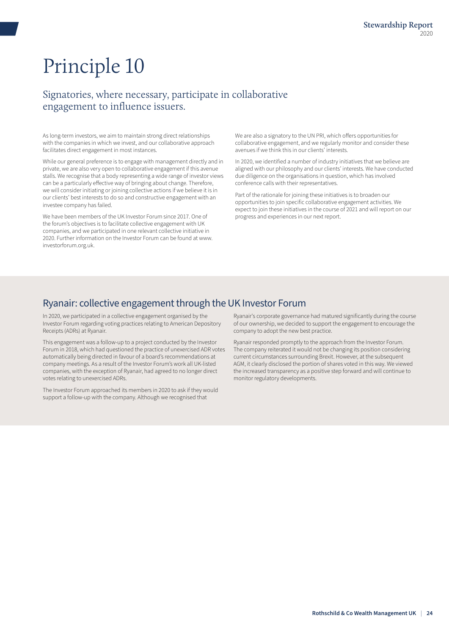## <span id="page-23-0"></span>Signatories, where necessary, participate in collaborative engagement to influence issuers.

As long-term investors, we aim to maintain strong direct relationships with the companies in which we invest, and our collaborative approach facilitates direct engagement in most instances.

While our general preference is to engage with management directly and in private, we are also very open to collaborative engagement if this avenue stalls. We recognise that a body representing a wide range of investor views can be a particularly effective way of bringing about change. Therefore, we will consider initiating or joining collective actions if we believe it is in our clients' best interests to do so and constructive engagement with an investee company has failed.

We have been members of the UK Investor Forum since 2017. One of the forum's objectives is to facilitate collective engagement with UK companies, and we participated in one relevant collective initiative in 2020. Further information on the Investor Forum can be found at www. investorforum.org.uk.

We are also a signatory to the UN PRI, which offers opportunities for collaborative engagement, and we regularly monitor and consider these avenues if we think this in our clients' interests.

In 2020, we identified a number of industry initiatives that we believe are aligned with our philosophy and our clients' interests. We have conducted due diligence on the organisations in question, which has involved conference calls with their representatives.

Part of the rationale for joining these initiatives is to broaden our opportunities to join specific collaborative engagement activities. We expect to join these initiatives in the course of 2021 and will report on our progress and experiences in our next report.

## Ryanair: collective engagement through the UK Investor Forum

In 2020, we participated in a collective engagement organised by the Investor Forum regarding voting practices relating to American Depository Receipts (ADRs) at Ryanair.

This engagement was a follow-up to a project conducted by the Investor Forum in 2018, which had questioned the practice of unexercised ADR votes automatically being directed in favour of a board's recommendations at company meetings. As a result of the Investor Forum's work all UK-listed companies, with the exception of Ryanair, had agreed to no longer direct votes relating to unexercised ADRs.

The Investor Forum approached its members in 2020 to ask if they would support a follow-up with the company. Although we recognised that

Ryanair's corporate governance had matured significantly during the course of our ownership, we decided to support the engagement to encourage the company to adopt the new best practice.

Ryanair responded promptly to the approach from the Investor Forum. The company reiterated it would not be changing its position considering current circumstances surrounding Brexit. However, at the subsequent AGM, it clearly disclosed the portion of shares voted in this way. We viewed the increased transparency as a positive step forward and will continue to monitor regulatory developments.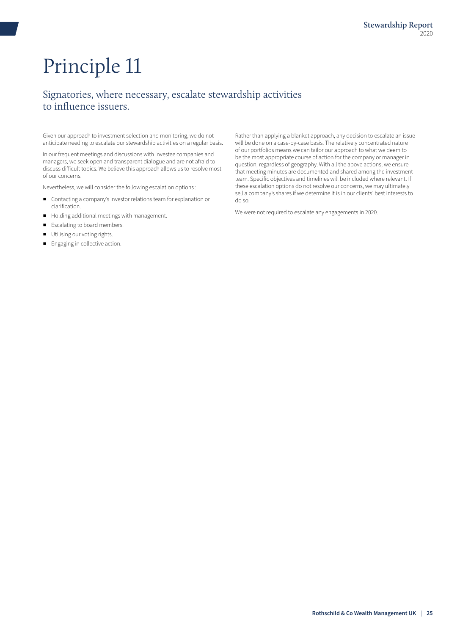## <span id="page-24-0"></span>Signatories, where necessary, escalate stewardship activities to influence issuers.

Given our approach to investment selection and monitoring, we do not anticipate needing to escalate our stewardship activities on a regular basis.

In our frequent meetings and discussions with investee companies and managers, we seek open and transparent dialogue and are not afraid to discuss difficult topics. We believe this approach allows us to resolve most of our concerns.

Nevertheless, we will consider the following escalation options :

- Contacting a company's investor relations team for explanation or clarification.
- Holding additional meetings with management.
- Escalating to board members.
- Utilising our voting rights.
- Engaging in collective action.

Rather than applying a blanket approach, any decision to escalate an issue will be done on a case-by-case basis. The relatively concentrated nature of our portfolios means we can tailor our approach to what we deem to be the most appropriate course of action for the company or manager in question, regardless of geography. With all the above actions, we ensure that meeting minutes are documented and shared among the investment team. Specific objectives and timelines will be included where relevant. If these escalation options do not resolve our concerns, we may ultimately sell a company's shares if we determine it is in our clients' best interests to do so.

We were not required to escalate any engagements in 2020.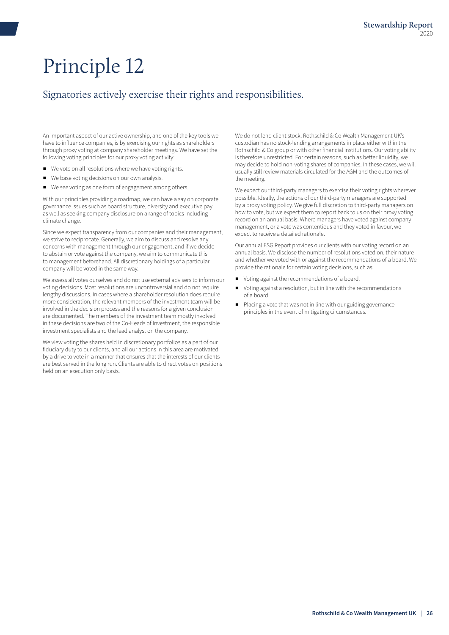## <span id="page-25-0"></span>Signatories actively exercise their rights and responsibilities.

An important aspect of our active ownership, and one of the key tools we have to influence companies, is by exercising our rights as shareholders through proxy voting at company shareholder meetings. We have set the following voting principles for our proxy voting activity:

- We vote on all resolutions where we have voting rights.
- We base voting decisions on our own analysis.
- We see voting as one form of engagement among others.

With our principles providing a roadmap, we can have a say on corporate governance issues such as board structure, diversity and executive pay, as well as seeking company disclosure on a range of topics including climate change.

Since we expect transparency from our companies and their management, we strive to reciprocate. Generally, we aim to discuss and resolve any concerns with management through our engagement, and if we decide to abstain or vote against the company, we aim to communicate this to management beforehand. All discretionary holdings of a particular company will be voted in the same way.

We assess all votes ourselves and do not use external advisers to inform our voting decisions. Most resolutions are uncontroversial and do not require lengthy discussions. In cases where a shareholder resolution does require more consideration, the relevant members of the investment team will be involved in the decision process and the reasons for a given conclusion are documented. The members of the investment team mostly involved in these decisions are two of the Co-Heads of Investment, the responsible investment specialists and the lead analyst on the company.

We view voting the shares held in discretionary portfolios as a part of our fiduciary duty to our clients, and all our actions in this area are motivated by a drive to vote in a manner that ensures that the interests of our clients are best served in the long run. Clients are able to direct votes on positions held on an execution only basis.

We do not lend client stock. Rothschild & Co Wealth Management UK's custodian has no stock-lending arrangements in place either within the Rothschild & Co group or with other financial institutions. Our voting ability is therefore unrestricted. For certain reasons, such as better liquidity, we may decide to hold non-voting shares of companies. In these cases, we will usually still review materials circulated for the AGM and the outcomes of the meeting.

We expect our third-party managers to exercise their voting rights wherever possible. Ideally, the actions of our third-party managers are supported by a proxy voting policy. We give full discretion to third-party managers on how to vote, but we expect them to report back to us on their proxy voting record on an annual basis. Where managers have voted against company management, or a vote was contentious and they voted in favour, we expect to receive a detailed rationale.

Our annual ESG Report provides our clients with our voting record on an annual basis. We disclose the number of resolutions voted on, their nature and whether we voted with or against the recommendations of a board. We provide the rationale for certain voting decisions, such as:

- Voting against the recommendations of a board.
- Voting against a resolution, but in line with the recommendations of a board.
- Placing a vote that was not in line with our guiding governance principles in the event of mitigating circumstances.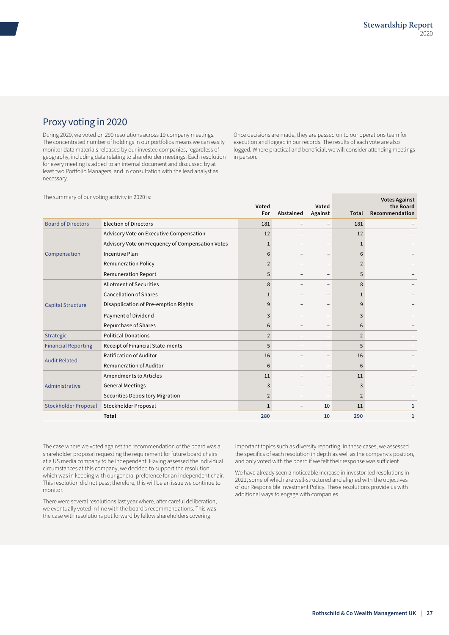## Proxy voting in 2020

During 2020, we voted on 290 resolutions across 19 company meetings. The concentrated number of holdings in our portfolios means we can easily monitor data materials released by our investee companies, regardless of geography, including data relating to shareholder meetings. Each resolution for every meeting is added to an internal document and discussed by at least two Portfolio Managers, and in consultation with the lead analyst as necessary.

Once decisions are made, they are passed on to our operations team for execution and logged in our records. The results of each vote are also logged. Where practical and beneficial, we will consider attending meetings in person.

The summary of our voting activity in 2020 is:

| The summary of our voting activity in 2020 is: |                                                  |                |           |                          |                | <b>Votes Against</b>        |
|------------------------------------------------|--------------------------------------------------|----------------|-----------|--------------------------|----------------|-----------------------------|
|                                                |                                                  | Voted<br>For   | Abstained | Voted<br>Against         | Total          | the Board<br>Recommendation |
| <b>Board of Directors</b>                      | <b>Election of Directors</b>                     | 181            |           | $\overline{\phantom{m}}$ | 181            |                             |
|                                                | Advisory Vote on Executive Compensation          | 12             |           |                          | 12             |                             |
|                                                | Advisory Vote on Frequency of Compensation Votes |                |           |                          |                |                             |
| Compensation                                   | <b>Incentive Plan</b>                            | 6              |           |                          | 6              |                             |
|                                                | <b>Remuneration Policy</b>                       | 2              |           |                          | $\overline{2}$ |                             |
|                                                | <b>Remuneration Report</b>                       | 5              |           |                          | 5              |                             |
|                                                | <b>Allotment of Securities</b>                   | 8              |           |                          | 8              |                             |
|                                                | <b>Cancellation of Shares</b>                    |                |           |                          |                |                             |
| <b>Capital Structure</b>                       | Disapplication of Pre-emption Rights             | 9              |           |                          |                |                             |
|                                                | Payment of Dividend                              | 3              |           |                          | 3              |                             |
|                                                | Repurchase of Shares                             | 6              |           |                          | 6              |                             |
| Strategic                                      | <b>Political Donations</b>                       | $\overline{2}$ |           |                          | $\overline{2}$ |                             |
| <b>Financial Reporting</b>                     | Receipt of Financial State-ments                 | 5              |           | $\qquad \qquad -$        | 5              |                             |
| <b>Audit Related</b>                           | <b>Ratification of Auditor</b>                   | 16             |           |                          | 16             |                             |
|                                                | <b>Remuneration of Auditor</b>                   | 6              |           | $\overline{\phantom{0}}$ | 6              |                             |
|                                                | Amendments to Articles                           | 11             |           |                          | 11             |                             |
| Administrative                                 | <b>General Meetings</b>                          | 3              |           |                          | 3              |                             |
|                                                | <b>Securities Depository Migration</b>           | $\overline{2}$ |           |                          | $\overline{2}$ |                             |
| <b>Stockholder Proposal</b>                    | Stockholder Proposal                             | $\mathbf{1}$   | -         | 10                       | 11             | 1                           |
|                                                | <b>Total</b>                                     | 280            |           | 10                       | 290            | 1                           |
|                                                |                                                  |                |           |                          |                |                             |

The case where we voted against the recommendation of the board was a shareholder proposal requesting the requirement for future board chairs at a US media company to be independent. Having assessed the individual circumstances at this company, we decided to support the resolution, which was in keeping with our general preference for an independent chair. This resolution did not pass; therefore, this will be an issue we continue to monitor.

There were several resolutions last year where, after careful deliberation, we eventually voted in line with the board's recommendations. This was the case with resolutions put forward by fellow shareholders covering

important topics such as diversity reporting. In these cases, we assessed the specifics of each resolution in depth as well as the company's position, and only voted with the board if we felt their response was sufficient.

We have already seen a noticeable increase in investor-led resolutions in 2021, some of which are well-structured and aligned with the objectives of our Responsible Investment Policy. These resolutions provide us with additional ways to engage with companies.